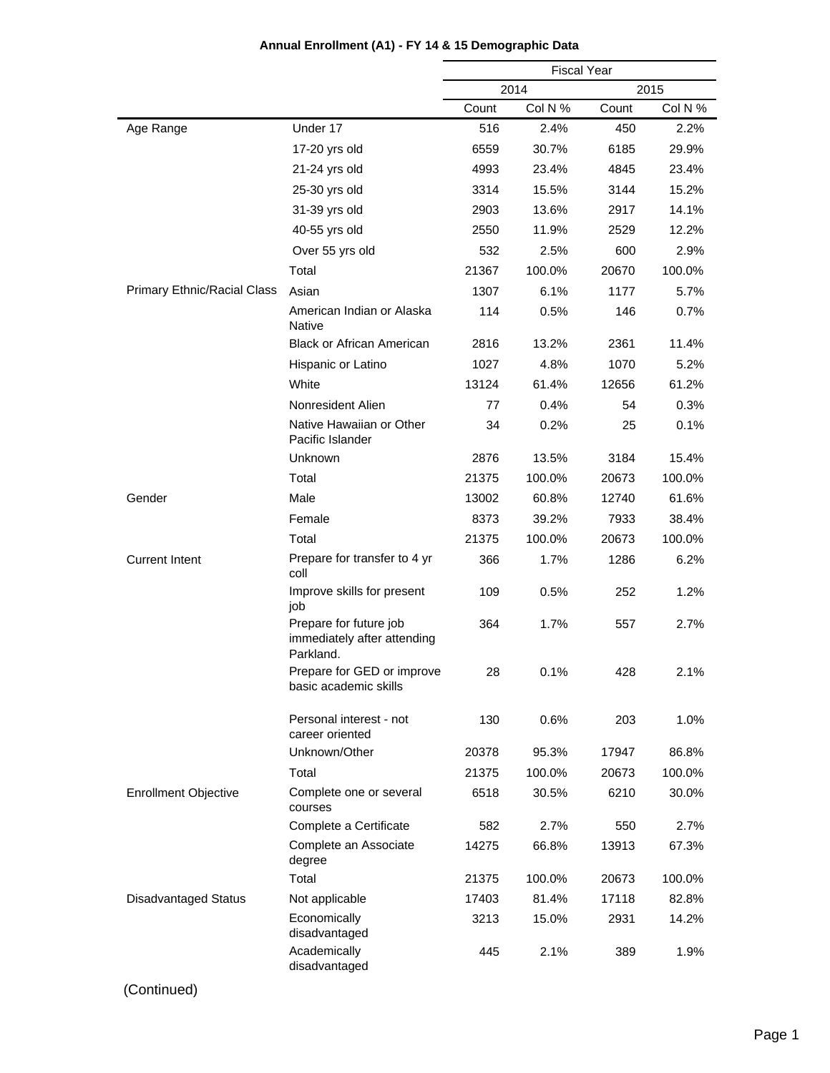|                             |                                                                    | <b>Fiscal Year</b> |         |       |         |
|-----------------------------|--------------------------------------------------------------------|--------------------|---------|-------|---------|
|                             |                                                                    | 2014<br>2015       |         |       |         |
|                             |                                                                    | Count              | Col N % | Count | Col N % |
| Age Range                   | Under 17                                                           | 516                | 2.4%    | 450   | 2.2%    |
|                             | 17-20 yrs old                                                      | 6559               | 30.7%   | 6185  | 29.9%   |
|                             | 21-24 yrs old                                                      | 4993               | 23.4%   | 4845  | 23.4%   |
|                             | 25-30 yrs old                                                      | 3314               | 15.5%   | 3144  | 15.2%   |
|                             | 31-39 yrs old                                                      | 2903               | 13.6%   | 2917  | 14.1%   |
|                             | 40-55 yrs old                                                      | 2550               | 11.9%   | 2529  | 12.2%   |
|                             | Over 55 yrs old                                                    | 532                | 2.5%    | 600   | 2.9%    |
|                             | Total                                                              | 21367              | 100.0%  | 20670 | 100.0%  |
| Primary Ethnic/Racial Class | Asian                                                              | 1307               | 6.1%    | 1177  | 5.7%    |
|                             | American Indian or Alaska<br><b>Native</b>                         | 114                | 0.5%    | 146   | 0.7%    |
|                             | <b>Black or African American</b>                                   | 2816               | 13.2%   | 2361  | 11.4%   |
|                             | Hispanic or Latino                                                 | 1027               | 4.8%    | 1070  | 5.2%    |
|                             | White                                                              | 13124              | 61.4%   | 12656 | 61.2%   |
|                             | Nonresident Alien                                                  | 77                 | 0.4%    | 54    | 0.3%    |
|                             | Native Hawaiian or Other<br>Pacific Islander                       | 34                 | 0.2%    | 25    | 0.1%    |
|                             | Unknown                                                            | 2876               | 13.5%   | 3184  | 15.4%   |
|                             | Total                                                              | 21375              | 100.0%  | 20673 | 100.0%  |
| Gender                      | Male                                                               | 13002              | 60.8%   | 12740 | 61.6%   |
|                             | Female                                                             | 8373               | 39.2%   | 7933  | 38.4%   |
|                             | Total                                                              | 21375              | 100.0%  | 20673 | 100.0%  |
| <b>Current Intent</b>       | Prepare for transfer to 4 yr<br>coll                               | 366                | 1.7%    | 1286  | 6.2%    |
|                             | Improve skills for present<br>job                                  | 109                | 0.5%    | 252   | 1.2%    |
|                             | Prepare for future job<br>immediately after attending<br>Parkland. | 364                | 1.7%    | 557   | 2.7%    |
|                             | Prepare for GED or improve<br>basic academic skills                | 28                 | 0.1%    | 428   | 2.1%    |
|                             | Personal interest - not<br>career oriented                         | 130                | 0.6%    | 203   | 1.0%    |
|                             | Unknown/Other                                                      | 20378              | 95.3%   | 17947 | 86.8%   |
|                             | Total                                                              | 21375              | 100.0%  | 20673 | 100.0%  |
| <b>Enrollment Objective</b> | Complete one or several<br>courses                                 | 6518               | 30.5%   | 6210  | 30.0%   |
|                             | Complete a Certificate                                             | 582                | 2.7%    | 550   | 2.7%    |
|                             | Complete an Associate<br>degree                                    | 14275              | 66.8%   | 13913 | 67.3%   |
|                             | Total                                                              | 21375              | 100.0%  | 20673 | 100.0%  |
| <b>Disadvantaged Status</b> | Not applicable                                                     | 17403              | 81.4%   | 17118 | 82.8%   |
|                             | Economically<br>disadvantaged                                      | 3213               | 15.0%   | 2931  | 14.2%   |
|                             | Academically<br>disadvantaged                                      | 445                | 2.1%    | 389   | 1.9%    |

# **Annual Enrollment (A1) - FY 14 & 15 Demographic Data**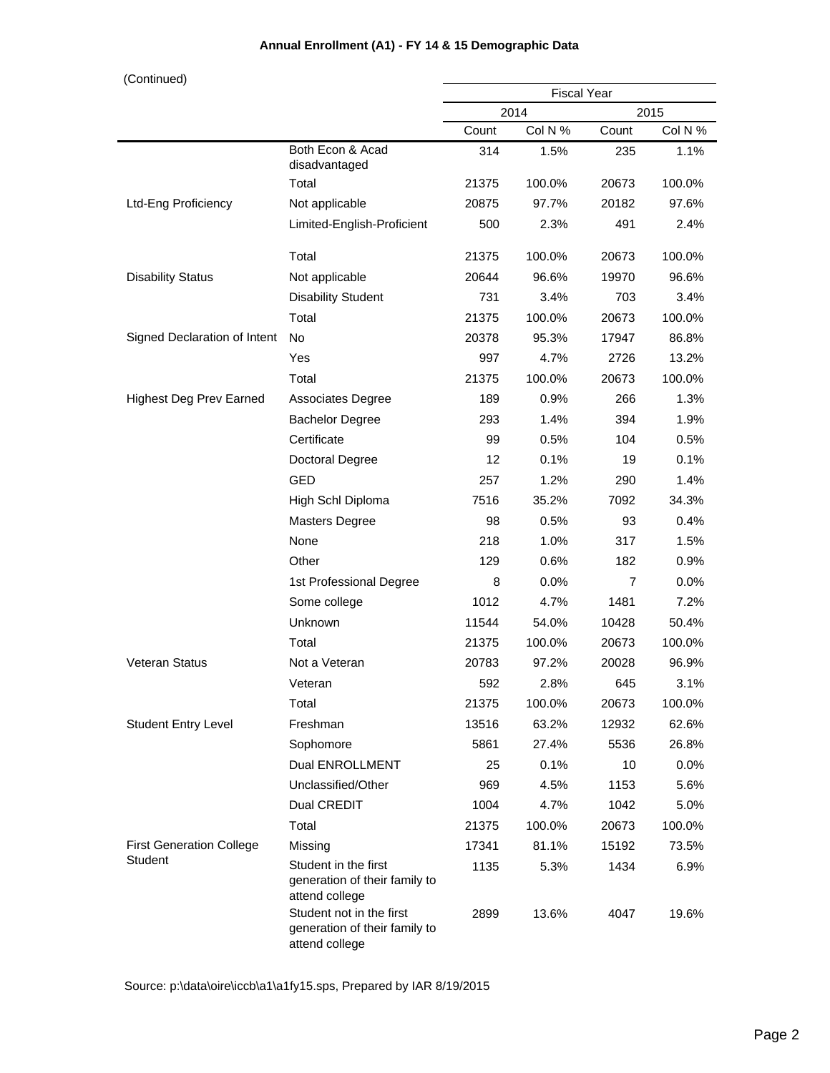| (Continued)                     |                                                                             |                    |         |       |         |
|---------------------------------|-----------------------------------------------------------------------------|--------------------|---------|-------|---------|
|                                 |                                                                             | <b>Fiscal Year</b> |         |       |         |
|                                 |                                                                             |                    | 2014    |       | 2015    |
|                                 |                                                                             | Count              | Col N % | Count | Col N % |
|                                 | Both Econ & Acad<br>disadvantaged                                           | 314                | 1.5%    | 235   | 1.1%    |
|                                 | Total                                                                       | 21375              | 100.0%  | 20673 | 100.0%  |
| <b>Ltd-Eng Proficiency</b>      | Not applicable                                                              | 20875              | 97.7%   | 20182 | 97.6%   |
|                                 | Limited-English-Proficient                                                  | 500                | 2.3%    | 491   | 2.4%    |
|                                 | Total                                                                       | 21375              | 100.0%  | 20673 | 100.0%  |
| <b>Disability Status</b>        | Not applicable                                                              | 20644              | 96.6%   | 19970 | 96.6%   |
|                                 | <b>Disability Student</b>                                                   | 731                | 3.4%    | 703   | 3.4%    |
|                                 | Total                                                                       | 21375              | 100.0%  | 20673 | 100.0%  |
| Signed Declaration of Intent    | <b>No</b>                                                                   | 20378              | 95.3%   | 17947 | 86.8%   |
|                                 | Yes                                                                         | 997                | 4.7%    | 2726  | 13.2%   |
|                                 | Total                                                                       | 21375              | 100.0%  | 20673 | 100.0%  |
| <b>Highest Deg Prev Earned</b>  | <b>Associates Degree</b>                                                    | 189                | 0.9%    | 266   | 1.3%    |
|                                 | <b>Bachelor Degree</b>                                                      | 293                | 1.4%    | 394   | 1.9%    |
|                                 | Certificate                                                                 | 99                 | 0.5%    | 104   | 0.5%    |
|                                 | Doctoral Degree                                                             | 12                 | 0.1%    | 19    | 0.1%    |
|                                 | <b>GED</b>                                                                  | 257                | 1.2%    | 290   | 1.4%    |
|                                 | High Schl Diploma                                                           | 7516               | 35.2%   | 7092  | 34.3%   |
|                                 | <b>Masters Degree</b>                                                       | 98                 | 0.5%    | 93    | 0.4%    |
|                                 | None                                                                        | 218                | 1.0%    | 317   | 1.5%    |
|                                 | Other                                                                       | 129                | 0.6%    | 182   | 0.9%    |
|                                 | 1st Professional Degree                                                     | 8                  | 0.0%    | 7     | 0.0%    |
|                                 | Some college                                                                | 1012               | 4.7%    | 1481  | 7.2%    |
|                                 | Unknown                                                                     | 11544              | 54.0%   | 10428 | 50.4%   |
|                                 | Total                                                                       | 21375              | 100.0%  | 20673 | 100.0%  |
| Veteran Status                  | Not a Veteran                                                               | 20783              | 97.2%   | 20028 | 96.9%   |
|                                 | Veteran                                                                     | 592                | 2.8%    | 645   | 3.1%    |
|                                 | Total                                                                       | 21375              | 100.0%  | 20673 | 100.0%  |
| <b>Student Entry Level</b>      | Freshman                                                                    | 13516              | 63.2%   | 12932 | 62.6%   |
|                                 | Sophomore                                                                   | 5861               | 27.4%   | 5536  | 26.8%   |
|                                 | Dual ENROLLMENT                                                             | 25                 | 0.1%    | 10    | $0.0\%$ |
|                                 | Unclassified/Other                                                          | 969                | 4.5%    | 1153  | 5.6%    |
|                                 | Dual CREDIT                                                                 | 1004               | 4.7%    | 1042  | 5.0%    |
|                                 | Total                                                                       | 21375              | 100.0%  | 20673 | 100.0%  |
| <b>First Generation College</b> | Missing                                                                     | 17341              | 81.1%   | 15192 | 73.5%   |
| Student                         | Student in the first<br>generation of their family to<br>attend college     | 1135               | 5.3%    | 1434  | 6.9%    |
|                                 | Student not in the first<br>generation of their family to<br>attend college | 2899               | 13.6%   | 4047  | 19.6%   |

## **Annual Enrollment (A1) - FY 14 & 15 Demographic Data**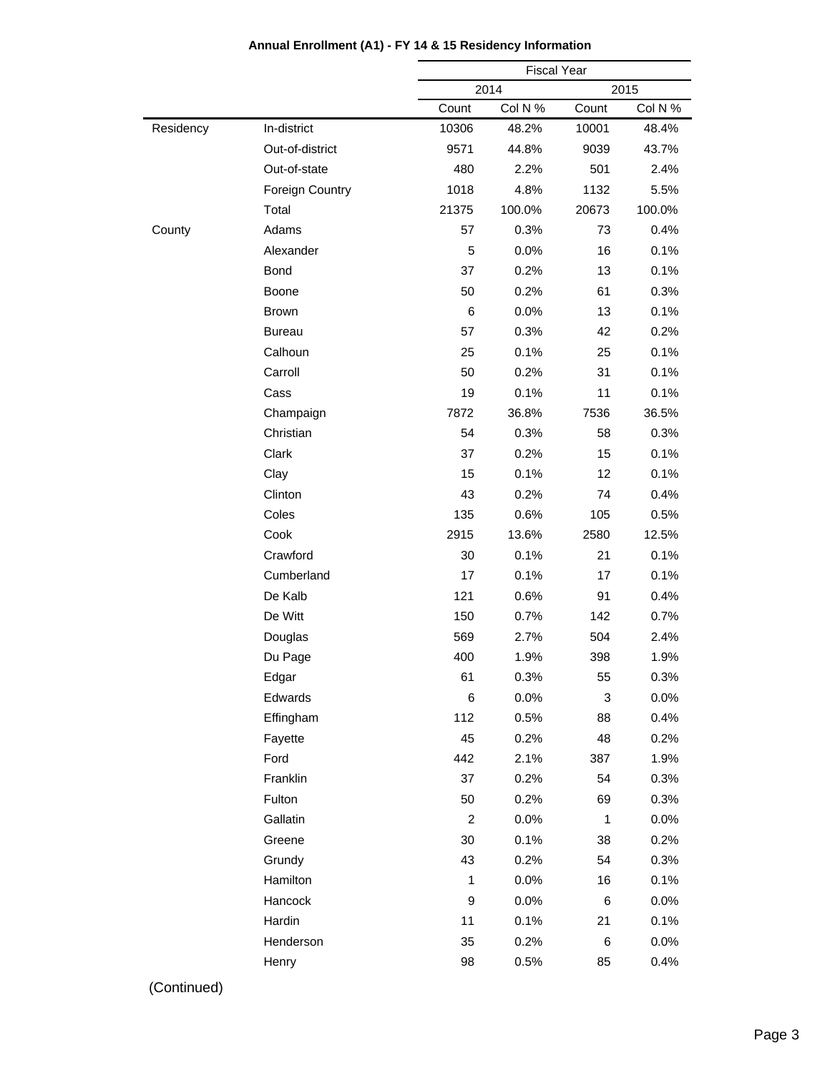|           |                 |                | <b>Fiscal Year</b> |       |         |  |
|-----------|-----------------|----------------|--------------------|-------|---------|--|
|           |                 |                | 2014               |       | 2015    |  |
|           |                 | Count          | Col N %            | Count | Col N % |  |
| Residency | In-district     | 10306          | 48.2%              | 10001 | 48.4%   |  |
|           | Out-of-district | 9571           | 44.8%              | 9039  | 43.7%   |  |
|           | Out-of-state    | 480            | 2.2%               | 501   | 2.4%    |  |
|           | Foreign Country | 1018           | 4.8%               | 1132  | 5.5%    |  |
|           | Total           | 21375          | 100.0%             | 20673 | 100.0%  |  |
| County    | Adams           | 57             | 0.3%               | 73    | 0.4%    |  |
|           | Alexander       | 5              | 0.0%               | 16    | 0.1%    |  |
|           | Bond            | 37             | 0.2%               | 13    | 0.1%    |  |
|           | Boone           | 50             | 0.2%               | 61    | 0.3%    |  |
|           | <b>Brown</b>    | 6              | 0.0%               | 13    | 0.1%    |  |
|           | <b>Bureau</b>   | 57             | 0.3%               | 42    | 0.2%    |  |
|           | Calhoun         | 25             | 0.1%               | 25    | 0.1%    |  |
|           | Carroll         | 50             | 0.2%               | 31    | 0.1%    |  |
|           | Cass            | 19             | 0.1%               | 11    | 0.1%    |  |
|           | Champaign       | 7872           | 36.8%              | 7536  | 36.5%   |  |
|           | Christian       | 54             | 0.3%               | 58    | 0.3%    |  |
|           | Clark           | 37             | 0.2%               | 15    | 0.1%    |  |
|           | Clay            | 15             | 0.1%               | 12    | 0.1%    |  |
|           | Clinton         | 43             | 0.2%               | 74    | 0.4%    |  |
|           | Coles           | 135            | 0.6%               | 105   | 0.5%    |  |
|           | Cook            | 2915           | 13.6%              | 2580  | 12.5%   |  |
|           | Crawford        | 30             | 0.1%               | 21    | 0.1%    |  |
|           | Cumberland      | 17             | 0.1%               | 17    | 0.1%    |  |
|           | De Kalb         | 121            | 0.6%               | 91    | 0.4%    |  |
|           | De Witt         | 150            | 0.7%               | 142   | 0.7%    |  |
|           | Douglas         | 569            | 2.7%               | 504   | 2.4%    |  |
|           | Du Page         | 400            | 1.9%               | 398   | 1.9%    |  |
|           | Edgar           | 61             | 0.3%               | 55    | 0.3%    |  |
|           | Edwards         | 6              | 0.0%               | 3     | 0.0%    |  |
|           | Effingham       | 112            | 0.5%               | 88    | 0.4%    |  |
|           | Fayette         | 45             | 0.2%               | 48    | 0.2%    |  |
|           | Ford            | 442            | 2.1%               | 387   | 1.9%    |  |
|           | Franklin        | 37             | 0.2%               | 54    | 0.3%    |  |
|           | Fulton          | 50             | 0.2%               | 69    | 0.3%    |  |
|           | Gallatin        | $\overline{c}$ | 0.0%               | 1     | 0.0%    |  |
|           | Greene          | 30             | 0.1%               | 38    | 0.2%    |  |
|           | Grundy          | 43             | 0.2%               | 54    | 0.3%    |  |
|           | Hamilton        | $\mathbf{1}$   | 0.0%               | 16    | 0.1%    |  |
|           | Hancock         | $\mathsf g$    | 0.0%               | 6     | 0.0%    |  |
|           | Hardin          | 11             | 0.1%               | 21    | 0.1%    |  |
|           | Henderson       | 35             | 0.2%               | 6     | 0.0%    |  |
|           | Henry           | 98             | 0.5%               | 85    | 0.4%    |  |
|           |                 |                |                    |       |         |  |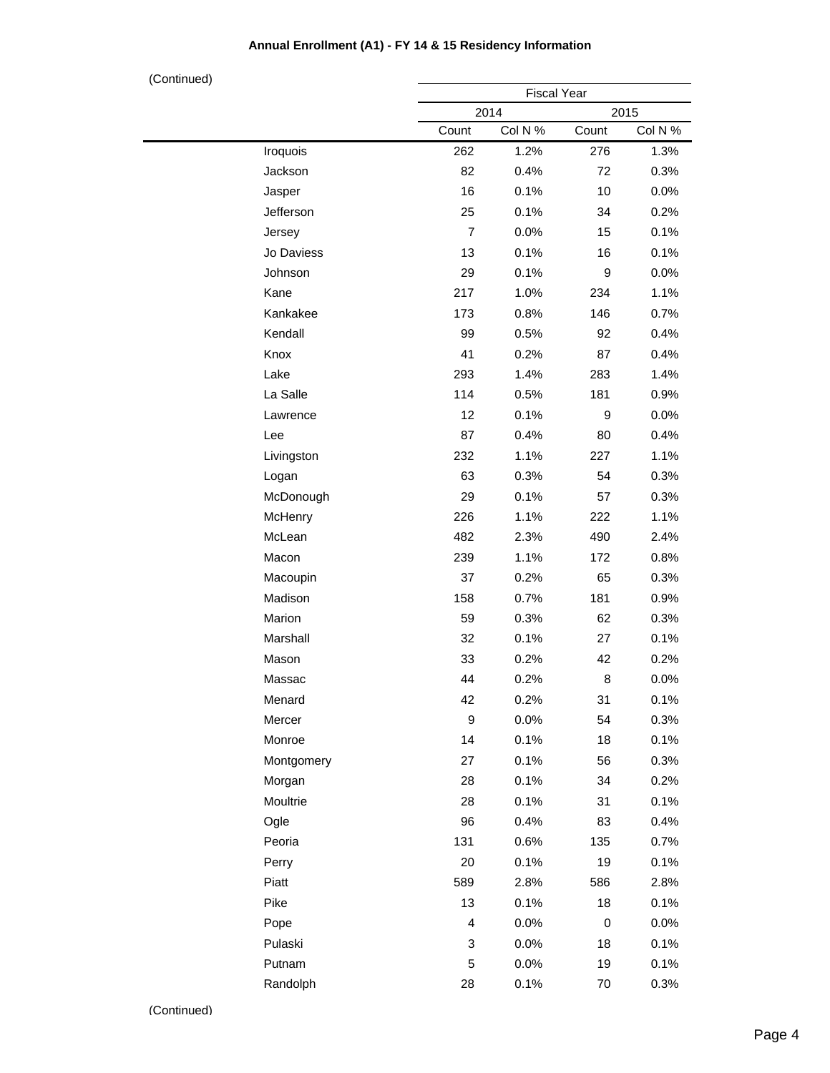| (Continued) |            |                | <b>Fiscal Year</b> |             |         |
|-------------|------------|----------------|--------------------|-------------|---------|
|             |            |                | 2014               | 2015        |         |
|             |            | Count          | Col N %            | Count       | Col N % |
|             | Iroquois   | 262            | 1.2%               | 276         | 1.3%    |
|             | Jackson    | 82             | 0.4%               | 72          | 0.3%    |
|             | Jasper     | 16             | 0.1%               | 10          | 0.0%    |
|             | Jefferson  | 25             | 0.1%               | 34          | 0.2%    |
|             | Jersey     | $\overline{7}$ | 0.0%               | 15          | 0.1%    |
|             | Jo Daviess | 13             | 0.1%               | 16          | 0.1%    |
|             | Johnson    | 29             | 0.1%               | 9           | 0.0%    |
|             | Kane       | 217            | 1.0%               | 234         | 1.1%    |
|             | Kankakee   | 173            | 0.8%               | 146         | 0.7%    |
|             | Kendall    | 99             | 0.5%               | 92          | 0.4%    |
|             | Knox       | 41             | 0.2%               | 87          | 0.4%    |
|             | Lake       | 293            | 1.4%               | 283         | 1.4%    |
|             | La Salle   | 114            | 0.5%               | 181         | 0.9%    |
|             | Lawrence   | 12             | 0.1%               | 9           | 0.0%    |
|             | Lee        | 87             | 0.4%               | 80          | 0.4%    |
|             | Livingston | 232            | 1.1%               | 227         | 1.1%    |
|             | Logan      | 63             | 0.3%               | 54          | 0.3%    |
|             | McDonough  | 29             | 0.1%               | 57          | 0.3%    |
|             | McHenry    | 226            | 1.1%               | 222         | 1.1%    |
|             | McLean     | 482            | 2.3%               | 490         | 2.4%    |
|             | Macon      | 239            | 1.1%               | 172         | 0.8%    |
|             | Macoupin   | 37             | 0.2%               | 65          | 0.3%    |
|             | Madison    | 158            | 0.7%               | 181         | 0.9%    |
|             | Marion     | 59             | 0.3%               | 62          | 0.3%    |
|             | Marshall   | 32             | 0.1%               | 27          | 0.1%    |
|             | Mason      | 33             | 0.2%               | 42          | 0.2%    |
|             | Massac     | 44             | 0.2%               | 8           | 0.0%    |
|             | Menard     | 42             | 0.2%               | 31          | 0.1%    |
|             | Mercer     | 9              | 0.0%               | 54          | 0.3%    |
|             | Monroe     | 14             | 0.1%               | 18          | 0.1%    |
|             | Montgomery | 27             | 0.1%               | 56          | 0.3%    |
|             | Morgan     | 28             | 0.1%               | 34          | 0.2%    |
|             | Moultrie   | 28             | 0.1%               | 31          | 0.1%    |
|             | Ogle       | 96             | 0.4%               | 83          | 0.4%    |
|             | Peoria     | 131            | 0.6%               | 135         | 0.7%    |
|             | Perry      | 20             | 0.1%               | 19          | 0.1%    |
|             | Piatt      | 589            | 2.8%               | 586         | 2.8%    |
|             | Pike       | 13             | 0.1%               | 18          | 0.1%    |
|             | Pope       | 4              | 0.0%               | $\mathbf 0$ | 0.0%    |
|             | Pulaski    | 3              | 0.0%               | 18          | 0.1%    |
|             | Putnam     | 5              | 0.0%               | 19          | 0.1%    |
|             | Randolph   | 28             | 0.1%               | 70          | 0.3%    |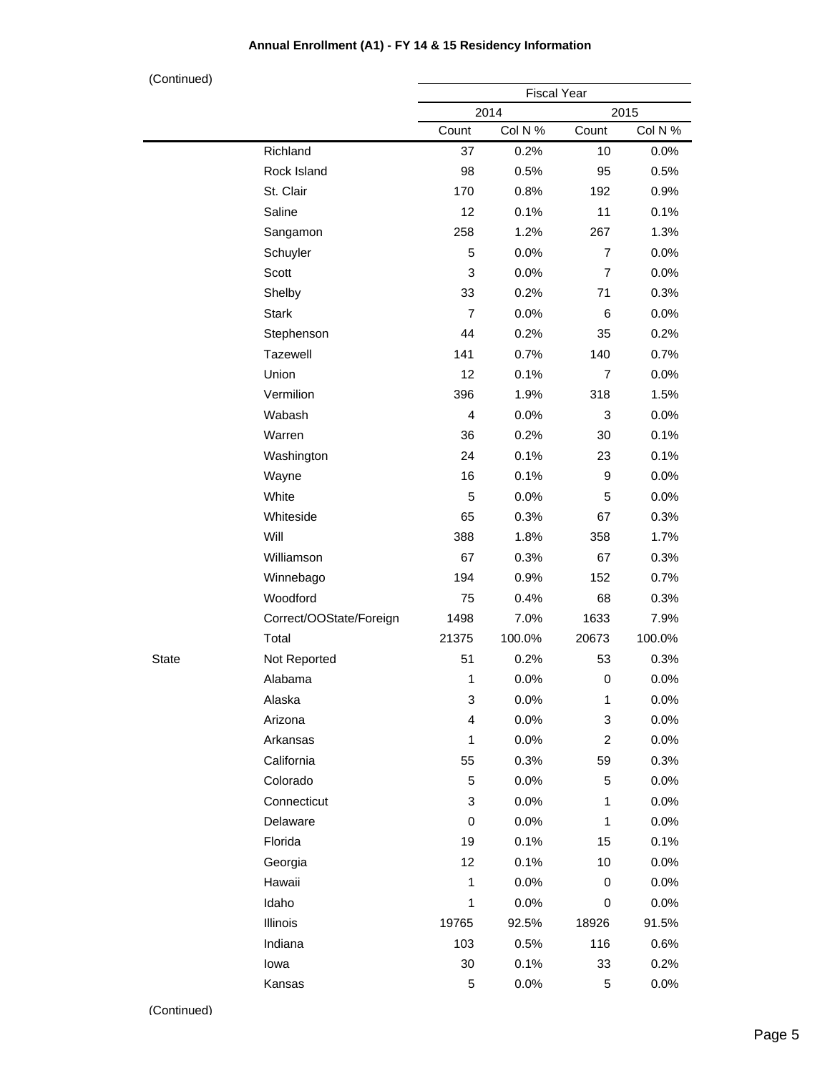| (Continued)  |                         |                |                    |                |         |  |
|--------------|-------------------------|----------------|--------------------|----------------|---------|--|
|              |                         |                | <b>Fiscal Year</b> |                | 2015    |  |
|              |                         | Count          | 2014<br>Col N %    | Count          | Col N % |  |
|              | Richland                | 37             | 0.2%               | 10             | 0.0%    |  |
|              | Rock Island             | 98             | 0.5%               | 95             | 0.5%    |  |
|              | St. Clair               | 170            | 0.8%               | 192            | 0.9%    |  |
|              | Saline                  | 12             | 0.1%               | 11             | 0.1%    |  |
|              | Sangamon                | 258            | 1.2%               | 267            | 1.3%    |  |
|              | Schuyler                | 5              | 0.0%               | $\overline{7}$ | 0.0%    |  |
|              | Scott                   | 3              | 0.0%               | $\overline{7}$ | 0.0%    |  |
|              | Shelby                  | 33             | 0.2%               | 71             | 0.3%    |  |
|              | <b>Stark</b>            | 7              | 0.0%               | 6              | 0.0%    |  |
|              | Stephenson              | 44             | 0.2%               | 35             | 0.2%    |  |
|              | Tazewell                | 141            | 0.7%               | 140            | 0.7%    |  |
|              | Union                   | 12             | 0.1%               | $\overline{7}$ | 0.0%    |  |
|              | Vermilion               | 396            | 1.9%               | 318            | 1.5%    |  |
|              | Wabash                  | $\overline{4}$ | 0.0%               | 3              | 0.0%    |  |
|              | Warren                  | 36             | 0.2%               | 30             | 0.1%    |  |
|              | Washington              | 24             | 0.1%               | 23             | 0.1%    |  |
|              | Wayne                   | 16             | 0.1%               | 9              | 0.0%    |  |
|              | White                   | 5              | 0.0%               | 5              | 0.0%    |  |
|              | Whiteside               | 65             | 0.3%               | 67             | 0.3%    |  |
|              | Will                    | 388            | 1.8%               | 358            | 1.7%    |  |
|              | Williamson              | 67             | 0.3%               | 67             | 0.3%    |  |
|              | Winnebago               | 194            | 0.9%               | 152            | 0.7%    |  |
|              | Woodford                | 75             | 0.4%               | 68             | 0.3%    |  |
|              | Correct/OOState/Foreign | 1498           | 7.0%               | 1633           | 7.9%    |  |
|              | Total                   | 21375          | 100.0%             | 20673          | 100.0%  |  |
| <b>State</b> | Not Reported            | 51             | 0.2%               | 53             | 0.3%    |  |
|              | Alabama                 | 1              | 0.0%               | 0              | 0.0%    |  |
|              | Alaska                  | 3              | 0.0%               | 1              | 0.0%    |  |
|              | Arizona                 | 4              | 0.0%               | 3              | 0.0%    |  |
|              | Arkansas                | 1              | 0.0%               | $\overline{c}$ | 0.0%    |  |
|              | California              | 55             | 0.3%               | 59             | 0.3%    |  |
|              | Colorado                | 5              | 0.0%               | 5              | 0.0%    |  |
|              | Connecticut             | 3              | 0.0%               | 1              | 0.0%    |  |
|              | Delaware                | 0              | 0.0%               | $\mathbf{1}$   | 0.0%    |  |
|              | Florida                 | 19             | 0.1%               | 15             | 0.1%    |  |
|              | Georgia                 | 12             | 0.1%               | 10             | 0.0%    |  |
|              | Hawaii                  | $\mathbf{1}$   | 0.0%               | 0              | 0.0%    |  |
|              | Idaho                   | $\mathbf 1$    | 0.0%               | 0              | 0.0%    |  |
|              | Illinois                | 19765          | 92.5%              | 18926          | 91.5%   |  |
|              | Indiana                 | 103            | 0.5%               | 116            | 0.6%    |  |
|              | lowa                    | $30\,$         | 0.1%               | 33             | 0.2%    |  |
|              | Kansas                  | 5              | 0.0%               | 5              | 0.0%    |  |
|              |                         |                |                    |                |         |  |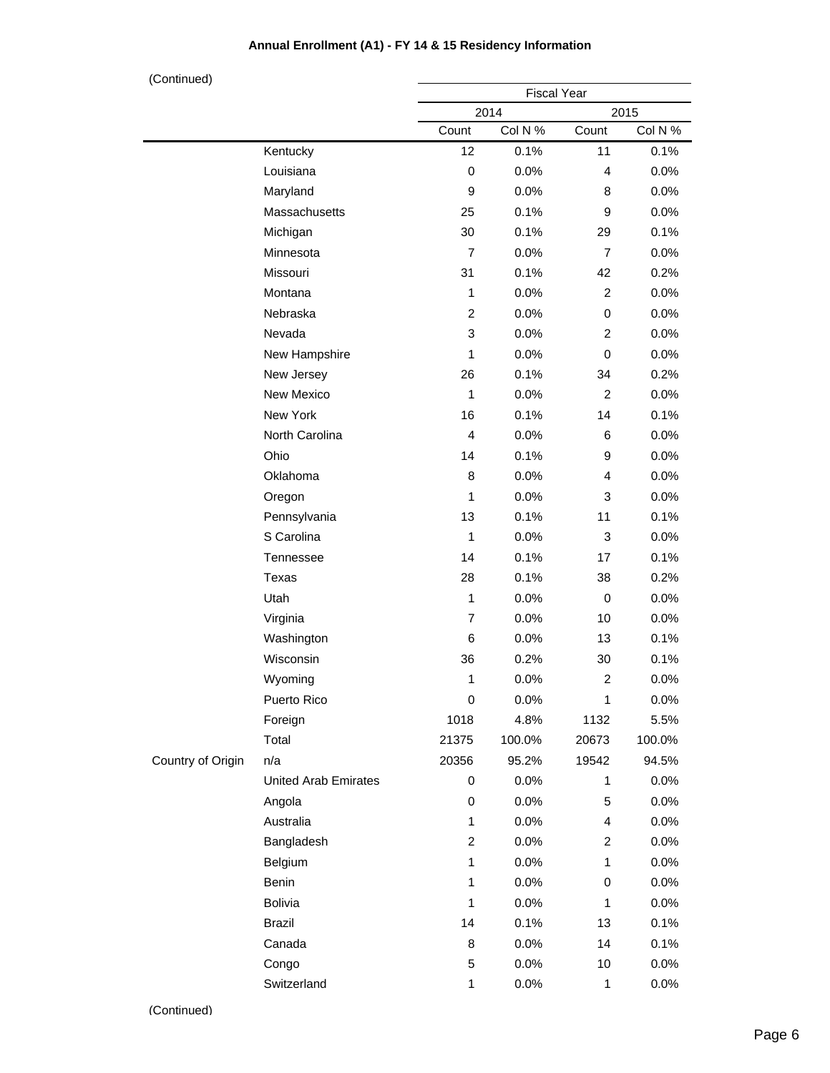| (Continued)       |                             |                    |         |                |         |  |
|-------------------|-----------------------------|--------------------|---------|----------------|---------|--|
|                   |                             | <b>Fiscal Year</b> |         |                |         |  |
|                   |                             |                    | 2014    |                | 2015    |  |
|                   |                             | Count              | Col N % | Count          | Col N % |  |
|                   | Kentucky                    | 12                 | 0.1%    | 11             | 0.1%    |  |
|                   | Louisiana                   | $\mathbf 0$        | 0.0%    | $\overline{4}$ | 0.0%    |  |
|                   | Maryland                    | 9                  | 0.0%    | 8              | 0.0%    |  |
|                   | Massachusetts               | 25                 | 0.1%    | 9              | 0.0%    |  |
|                   | Michigan                    | 30                 | 0.1%    | 29             | 0.1%    |  |
|                   | Minnesota                   | $\overline{7}$     | 0.0%    | $\overline{7}$ | 0.0%    |  |
|                   | Missouri                    | 31                 | 0.1%    | 42             | 0.2%    |  |
|                   | Montana                     | $\mathbf{1}$       | 0.0%    | $\overline{2}$ | 0.0%    |  |
|                   | Nebraska                    | $\overline{c}$     | 0.0%    | 0              | 0.0%    |  |
|                   | Nevada                      | 3                  | 0.0%    | 2              | 0.0%    |  |
|                   | New Hampshire               | 1                  | 0.0%    | 0              | 0.0%    |  |
|                   | New Jersey                  | 26                 | 0.1%    | 34             | 0.2%    |  |
|                   | New Mexico                  | 1                  | 0.0%    | 2              | 0.0%    |  |
|                   | New York                    | 16                 | 0.1%    | 14             | 0.1%    |  |
|                   | North Carolina              | $\overline{4}$     | 0.0%    | 6              | 0.0%    |  |
|                   | Ohio                        | 14                 | 0.1%    | 9              | 0.0%    |  |
|                   | Oklahoma                    | 8                  | 0.0%    | 4              | 0.0%    |  |
|                   | Oregon                      | $\mathbf{1}$       | 0.0%    | 3              | 0.0%    |  |
|                   | Pennsylvania                | 13                 | 0.1%    | 11             | 0.1%    |  |
|                   | S Carolina                  | $\mathbf{1}$       | 0.0%    | 3              | 0.0%    |  |
|                   | Tennessee                   | 14                 | 0.1%    | 17             | 0.1%    |  |
|                   | <b>Texas</b>                | 28                 | 0.1%    | 38             | 0.2%    |  |
|                   | Utah                        | $\mathbf{1}$       | 0.0%    | 0              | 0.0%    |  |
|                   | Virginia                    | $\overline{7}$     | 0.0%    | 10             | 0.0%    |  |
|                   | Washington                  | 6                  | 0.0%    | 13             | 0.1%    |  |
|                   | Wisconsin                   | 36                 | 0.2%    | 30             | 0.1%    |  |
|                   | Wyoming                     | 1                  | $0.0\%$ | 2              | $0.0\%$ |  |
|                   | Puerto Rico                 | 0                  | 0.0%    | 1              | 0.0%    |  |
|                   | Foreign                     | 1018               | 4.8%    | 1132           | 5.5%    |  |
|                   | Total                       | 21375              | 100.0%  | 20673          | 100.0%  |  |
| Country of Origin | n/a                         | 20356              | 95.2%   | 19542          | 94.5%   |  |
|                   | <b>United Arab Emirates</b> | 0                  | 0.0%    | 1              | 0.0%    |  |
|                   | Angola                      | 0                  | 0.0%    | 5              | 0.0%    |  |
|                   | Australia                   | 1                  | 0.0%    | 4              | 0.0%    |  |
|                   | Bangladesh                  | $\overline{c}$     | 0.0%    | $\overline{2}$ | 0.0%    |  |
|                   | Belgium                     | $\mathbf{1}$       | 0.0%    | $\mathbf{1}$   | 0.0%    |  |
|                   | Benin                       | $\mathbf{1}$       | 0.0%    | 0              | 0.0%    |  |
|                   | <b>Bolivia</b>              | $\mathbf{1}$       | 0.0%    | 1              | 0.0%    |  |
|                   | <b>Brazil</b>               | 14                 | 0.1%    | 13             | 0.1%    |  |
|                   | Canada                      | 8                  | 0.0%    | 14             | 0.1%    |  |
|                   | Congo                       | 5                  | 0.0%    | 10             | 0.0%    |  |
|                   | Switzerland                 | $\mathbf{1}$       | 0.0%    | $\mathbf{1}$   | 0.0%    |  |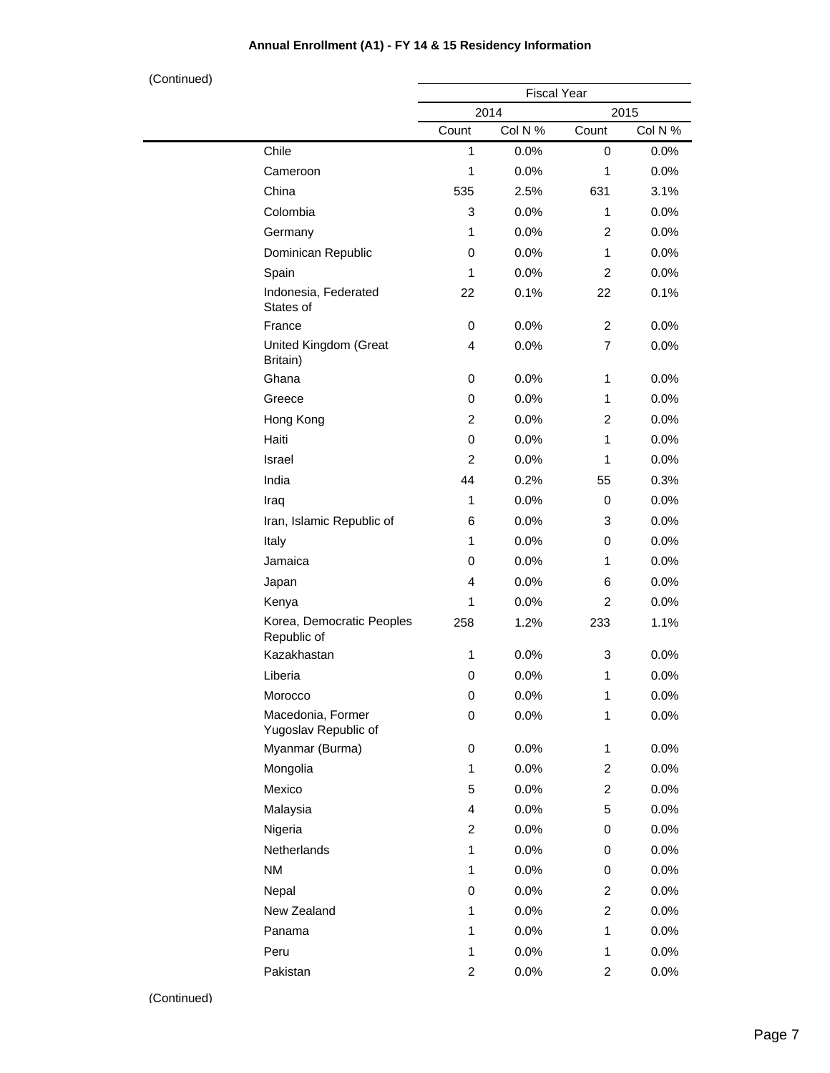| (Continued) |                                           |                         |         |                         |         |  |
|-------------|-------------------------------------------|-------------------------|---------|-------------------------|---------|--|
|             |                                           | <b>Fiscal Year</b>      |         |                         |         |  |
|             |                                           |                         | 2014    |                         | 2015    |  |
|             |                                           | Count                   | Col N % | Count                   | Col N % |  |
|             | Chile                                     | 1                       | 0.0%    | $\mathbf 0$             | 0.0%    |  |
|             | Cameroon                                  | 1                       | 0.0%    | 1                       | 0.0%    |  |
|             | China                                     | 535                     | 2.5%    | 631                     | 3.1%    |  |
|             | Colombia                                  | 3                       | 0.0%    | 1                       | 0.0%    |  |
|             | Germany                                   | 1                       | 0.0%    | $\overline{c}$          | 0.0%    |  |
|             | Dominican Republic                        | 0                       | 0.0%    | 1                       | 0.0%    |  |
|             | Spain                                     | $\mathbf{1}$            | 0.0%    | $\overline{c}$          | 0.0%    |  |
|             | Indonesia, Federated<br>States of         | 22                      | 0.1%    | 22                      | 0.1%    |  |
|             | France                                    | 0                       | 0.0%    | $\overline{c}$          | 0.0%    |  |
|             | United Kingdom (Great<br>Britain)         | 4                       | 0.0%    | 7                       | 0.0%    |  |
|             | Ghana                                     | 0                       | 0.0%    | 1                       | 0.0%    |  |
|             | Greece                                    | 0                       | 0.0%    | 1                       | 0.0%    |  |
|             | Hong Kong                                 | 2                       | 0.0%    | 2                       | 0.0%    |  |
|             | Haiti                                     | 0                       | 0.0%    | 1                       | 0.0%    |  |
|             | Israel                                    | $\overline{c}$          | 0.0%    | 1                       | 0.0%    |  |
|             | India                                     | 44                      | 0.2%    | 55                      | 0.3%    |  |
|             | Iraq                                      | 1                       | 0.0%    | 0                       | 0.0%    |  |
|             | Iran, Islamic Republic of                 | 6                       | 0.0%    | 3                       | 0.0%    |  |
|             | Italy                                     | $\mathbf{1}$            | 0.0%    | 0                       | 0.0%    |  |
|             | Jamaica                                   | 0                       | 0.0%    | 1                       | 0.0%    |  |
|             | Japan                                     | 4                       | 0.0%    | 6                       | 0.0%    |  |
|             | Kenya                                     | 1                       | 0.0%    | $\overline{c}$          | 0.0%    |  |
|             | Korea, Democratic Peoples<br>Republic of  | 258                     | 1.2%    | 233                     | 1.1%    |  |
|             | Kazakhastan                               | 1                       | 0.0%    | 3                       | 0.0%    |  |
|             | Liberia                                   | 0                       | 0.0%    | 1                       | 0.0%    |  |
|             | Morocco                                   | 0                       | 0.0%    | $\mathbf 1$             | 0.0%    |  |
|             | Macedonia, Former<br>Yugoslav Republic of | 0                       | 0.0%    | $\mathbf 1$             | 0.0%    |  |
|             | Myanmar (Burma)                           | 0                       | 0.0%    | 1                       | 0.0%    |  |
|             | Mongolia                                  | 1                       | 0.0%    | 2                       | $0.0\%$ |  |
|             | Mexico                                    | 5                       | 0.0%    | $\overline{c}$          | 0.0%    |  |
|             | Malaysia                                  | 4                       | 0.0%    | 5                       | 0.0%    |  |
|             | Nigeria                                   | $\overline{c}$          | 0.0%    | 0                       | 0.0%    |  |
|             | Netherlands                               | $\mathbf{1}$            | 0.0%    | 0                       | 0.0%    |  |
|             | <b>NM</b>                                 | 1                       | 0.0%    | 0                       | $0.0\%$ |  |
|             | Nepal                                     | 0                       | 0.0%    | 2                       | 0.0%    |  |
|             | New Zealand                               | 1                       | 0.0%    | $\overline{c}$          | 0.0%    |  |
|             | Panama                                    | $\mathbf{1}$            | 0.0%    | $\mathbf 1$             | 0.0%    |  |
|             | Peru                                      | 1                       | 0.0%    | 1                       | $0.0\%$ |  |
|             | Pakistan                                  | $\overline{\mathbf{c}}$ | 0.0%    | $\overline{\mathbf{c}}$ | 0.0%    |  |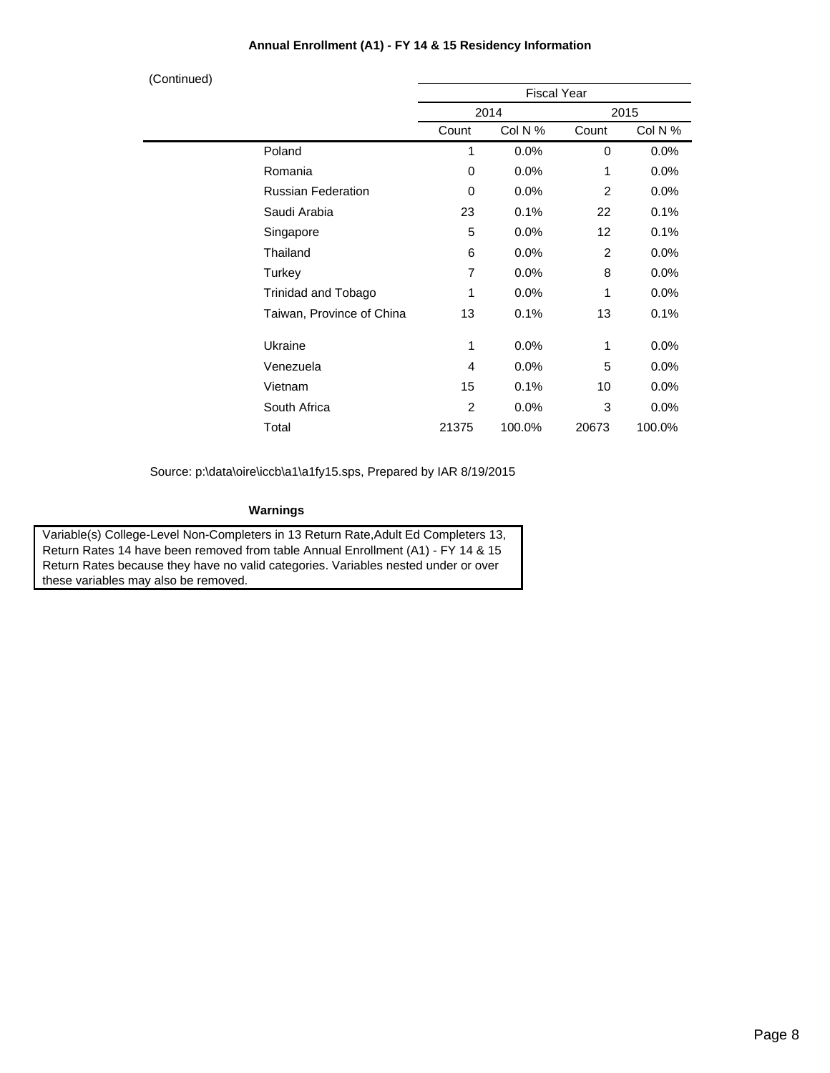| (Continued) |                           |                |                    |                   |         |
|-------------|---------------------------|----------------|--------------------|-------------------|---------|
|             |                           |                | <b>Fiscal Year</b> |                   |         |
|             |                           |                | 2014               |                   | 2015    |
|             |                           | Count          | Col N %            | Count             | Col N % |
|             | Poland                    | 1              | 0.0%               | 0                 | 0.0%    |
|             | Romania                   | $\Omega$       | 0.0%               | 1                 | 0.0%    |
|             | <b>Russian Federation</b> | $\Omega$       | 0.0%               | $\overline{2}$    | 0.0%    |
|             | Saudi Arabia              | 23             | 0.1%               | 22                | 0.1%    |
|             | Singapore                 | 5              | 0.0%               | $12 \overline{ }$ | 0.1%    |
|             | Thailand                  | 6              | 0.0%               | $\overline{2}$    | 0.0%    |
|             | Turkey                    | $\overline{7}$ | 0.0%               | 8                 | 0.0%    |
|             | Trinidad and Tobago       | 1              | 0.0%               | 1                 | 0.0%    |
|             | Taiwan, Province of China | 13             | 0.1%               | 13                | 0.1%    |
|             | Ukraine                   | 1              | 0.0%               | 1                 | 0.0%    |
|             | Venezuela                 | 4              | 0.0%               | 5                 | 0.0%    |
|             | Vietnam                   | 15             | 0.1%               | 10                | 0.0%    |
|             | South Africa              | $\overline{2}$ | 0.0%               | 3                 | 0.0%    |
|             | Total                     | 21375          | 100.0%             | 20673             | 100.0%  |

Source: p:\data\oire\iccb\a1\a1fy15.sps, Prepared by IAR 8/19/2015

#### **Warnings**

Variable(s) College-Level Non-Completers in 13 Return Rate,Adult Ed Completers 13, Return Rates 14 have been removed from table Annual Enrollment (A1) - FY 14 & 15 Return Rates because they have no valid categories. Variables nested under or over these variables may also be removed.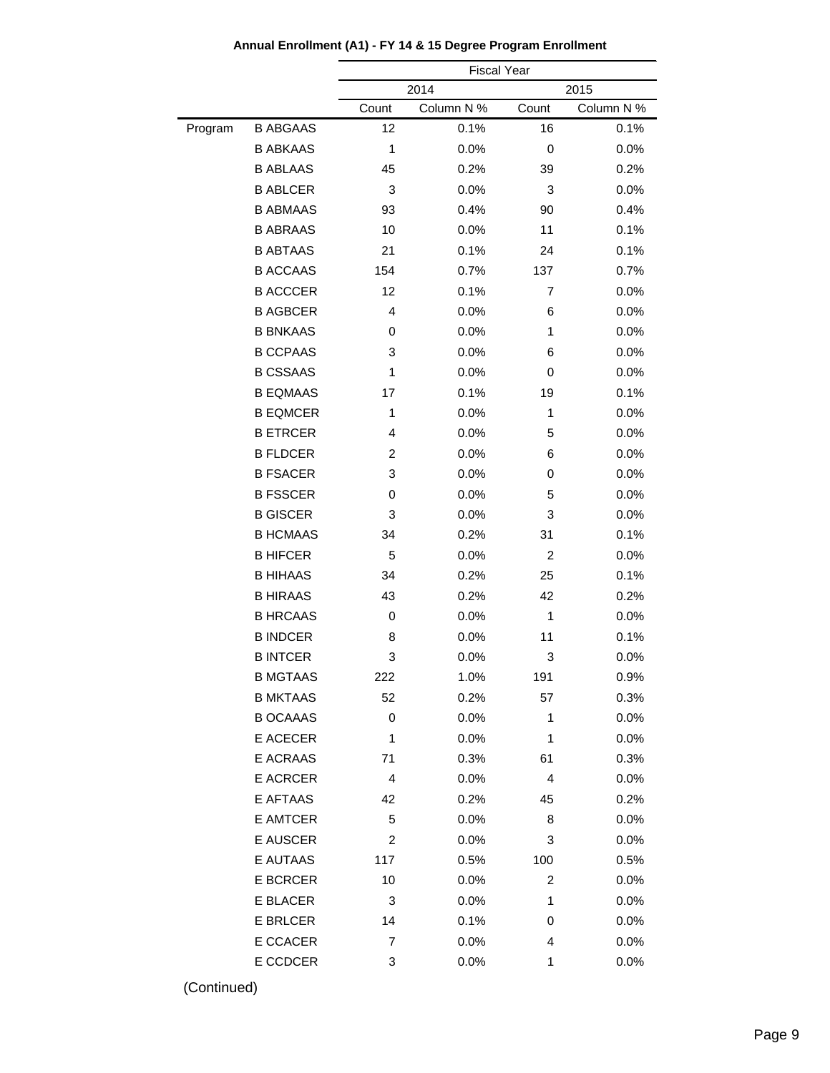|         |                 |                | <b>Fiscal Year</b> |                |            |
|---------|-----------------|----------------|--------------------|----------------|------------|
|         |                 |                | 2014               |                | 2015       |
|         |                 | Count          | Column N %         | Count          | Column N % |
| Program | <b>B ABGAAS</b> | 12             | 0.1%               | 16             | 0.1%       |
|         | <b>B ABKAAS</b> | 1              | 0.0%               | 0              | 0.0%       |
|         | <b>B ABLAAS</b> | 45             | 0.2%               | 39             | 0.2%       |
|         | <b>B ABLCER</b> | 3              | 0.0%               | 3              | 0.0%       |
|         | <b>B ABMAAS</b> | 93             | 0.4%               | 90             | 0.4%       |
|         | <b>B ABRAAS</b> | 10             | 0.0%               | 11             | 0.1%       |
|         | <b>B ABTAAS</b> | 21             | 0.1%               | 24             | 0.1%       |
|         | <b>B ACCAAS</b> | 154            | 0.7%               | 137            | 0.7%       |
|         | <b>B ACCCER</b> | 12             | 0.1%               | $\overline{7}$ | 0.0%       |
|         | <b>B AGBCER</b> | 4              | 0.0%               | 6              | 0.0%       |
|         | <b>B BNKAAS</b> | 0              | 0.0%               | 1              | 0.0%       |
|         | <b>B CCPAAS</b> | 3              | 0.0%               | 6              | 0.0%       |
|         | <b>B CSSAAS</b> | 1              | 0.0%               | 0              | 0.0%       |
|         | <b>B EQMAAS</b> | 17             | 0.1%               | 19             | 0.1%       |
|         | <b>B EQMCER</b> | 1              | 0.0%               | 1              | 0.0%       |
|         | <b>B ETRCER</b> | 4              | 0.0%               | 5              | 0.0%       |
|         | <b>B FLDCER</b> | $\overline{c}$ | 0.0%               | 6              | 0.0%       |
|         | <b>B FSACER</b> | 3              | 0.0%               | 0              | 0.0%       |
|         | <b>B FSSCER</b> | 0              | 0.0%               | 5              | 0.0%       |
|         | <b>B GISCER</b> | 3              | 0.0%               | 3              | 0.0%       |
|         | <b>B HCMAAS</b> | 34             | 0.2%               | 31             | 0.1%       |
|         | <b>B HIFCER</b> | 5              | 0.0%               | $\overline{c}$ | 0.0%       |
|         | <b>B HIHAAS</b> | 34             | 0.2%               | 25             | 0.1%       |
|         | <b>B HIRAAS</b> | 43             | 0.2%               | 42             | 0.2%       |
|         | <b>B HRCAAS</b> | 0              | 0.0%               | 1              | 0.0%       |
|         | <b>B INDCER</b> | 8              | 0.0%               | 11             | 0.1%       |
|         | <b>B INTCER</b> | 3              | 0.0%               | 3              | 0.0%       |
|         | B MGTAAS        | 222            | $1.0\%$            | 191            | $0.9\%$    |
|         | <b>B MKTAAS</b> | 52             | 0.2%               | 57             | 0.3%       |
|         | <b>B OCAAAS</b> | 0              | 0.0%               | 1              | 0.0%       |
|         | E ACECER        | 1              | 0.0%               | 1              | 0.0%       |
|         | <b>E ACRAAS</b> | 71             | 0.3%               | 61             | 0.3%       |
|         | <b>E ACRCER</b> | 4              | 0.0%               | 4              | 0.0%       |
|         | E AFTAAS        | 42             | 0.2%               | 45             | 0.2%       |
|         | E AMTCER        | 5              | 0.0%               | 8              | 0.0%       |
|         | <b>E AUSCER</b> | 2              | 0.0%               | 3              | 0.0%       |
|         | E AUTAAS        | 117            | 0.5%               | 100            | 0.5%       |
|         | <b>E BCRCER</b> | 10             | 0.0%               | 2              | 0.0%       |
|         | E BLACER        | 3              | 0.0%               | 1              | 0.0%       |
|         | <b>E BRLCER</b> | 14             | 0.1%               | 0              | 0.0%       |
|         | E CCACER        | 7              | 0.0%               | 4              | 0.0%       |
|         | E CCDCER        | 3              | 0.0%               | 1              | 0.0%       |
|         |                 |                |                    |                |            |

**Annual Enrollment (A1) - FY 14 & 15 Degree Program Enrollment**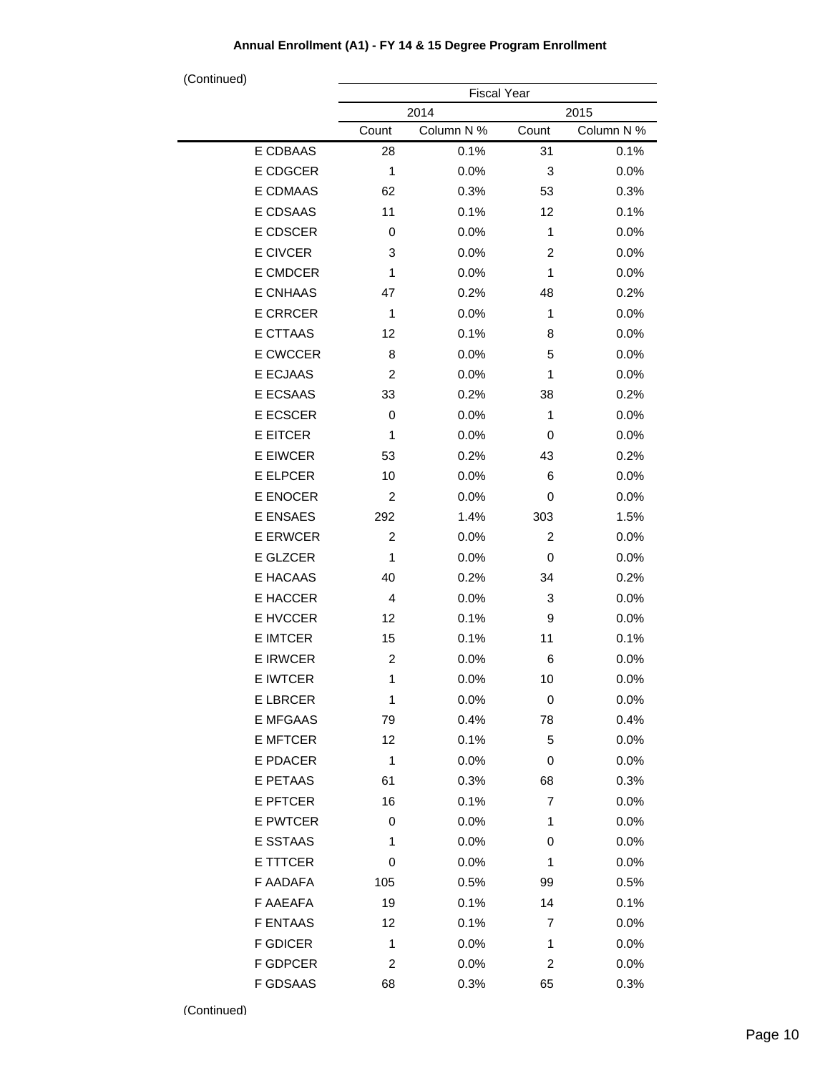| (Continued)     | <b>Fiscal Year</b> |            |                |            |  |
|-----------------|--------------------|------------|----------------|------------|--|
|                 |                    | 2014       | 2015           |            |  |
|                 | Count              | Column N % | Count          | Column N % |  |
| E CDBAAS        | 28                 | 0.1%       | 31             | 0.1%       |  |
| E CDGCER        | 1                  | 0.0%       | 3              | 0.0%       |  |
| E CDMAAS        | 62                 | 0.3%       | 53             | 0.3%       |  |
| E CDSAAS        | 11                 | 0.1%       | 12             | 0.1%       |  |
| E CDSCER        | 0                  | 0.0%       | 1              | 0.0%       |  |
| E CIVCER        | 3                  | 0.0%       | 2              | 0.0%       |  |
| E CMDCER        | 1                  | 0.0%       | 1              | 0.0%       |  |
| <b>E CNHAAS</b> | 47                 | 0.2%       | 48             | 0.2%       |  |
| <b>E CRRCER</b> | 1                  | 0.0%       | 1              | 0.0%       |  |
| <b>E CTTAAS</b> | 12                 | 0.1%       | 8              | 0.0%       |  |
| E CWCCER        | 8                  | 0.0%       | 5              | 0.0%       |  |
| E ECJAAS        | $\overline{2}$     | 0.0%       | 1              | 0.0%       |  |
| E ECSAAS        | 33                 | 0.2%       | 38             | 0.2%       |  |
| E ECSCER        | 0                  | 0.0%       | 1              | 0.0%       |  |
| <b>E EITCER</b> | 1                  | 0.0%       | 0              | 0.0%       |  |
| E EIWCER        | 53                 | 0.2%       | 43             | 0.2%       |  |
| E ELPCER        | 10                 | 0.0%       | 6              | 0.0%       |  |
| E ENOCER        | 2                  | 0.0%       | 0              | 0.0%       |  |
| <b>E ENSAES</b> | 292                | 1.4%       | 303            | 1.5%       |  |
| <b>E ERWCER</b> | $\overline{2}$     | 0.0%       | $\overline{2}$ | 0.0%       |  |
| E GLZCER        | 1                  | 0.0%       | 0              | 0.0%       |  |
| E HACAAS        | 40                 | 0.2%       | 34             | 0.2%       |  |
| E HACCER        | 4                  | 0.0%       | 3              | 0.0%       |  |
| E HVCCER        | 12                 | 0.1%       | 9              | 0.0%       |  |
| <b>E IMTCER</b> | 15                 | 0.1%       | 11             | 0.1%       |  |
| <b>E IRWCER</b> | $\overline{c}$     | 0.0%       | 6              | 0.0%       |  |
| E IWTCER        | 1                  | $0.0\%$    | 10             | $0.0\%$    |  |
| <b>E LBRCER</b> | 1                  | 0.0%       | 0              | 0.0%       |  |
| <b>E MFGAAS</b> | 79                 | 0.4%       | 78             | 0.4%       |  |
| <b>E MFTCER</b> | 12                 | 0.1%       | 5              | 0.0%       |  |
| E PDACER        | 1                  | 0.0%       | 0              | 0.0%       |  |
| E PETAAS        | 61                 | 0.3%       | 68             | 0.3%       |  |
| E PFTCER        | 16                 | 0.1%       | 7              | 0.0%       |  |
| E PWTCER        | 0                  | 0.0%       | 1              | 0.0%       |  |
| E SSTAAS        | 1                  | 0.0%       | 0              | 0.0%       |  |
| E TTTCER        | 0                  | 0.0%       | 1              | 0.0%       |  |
| F AADAFA        | 105                | 0.5%       | 99             | 0.5%       |  |
| F AAEAFA        | 19                 | 0.1%       | 14             | 0.1%       |  |
| <b>F ENTAAS</b> | 12                 | 0.1%       | 7              | 0.0%       |  |
| <b>F GDICER</b> | 1                  | 0.0%       | 1              | 0.0%       |  |
| <b>F GDPCER</b> | 2                  | 0.0%       | 2              | 0.0%       |  |
| F GDSAAS        | 68                 | 0.3%       | 65             | 0.3%       |  |

J,  $\blacksquare$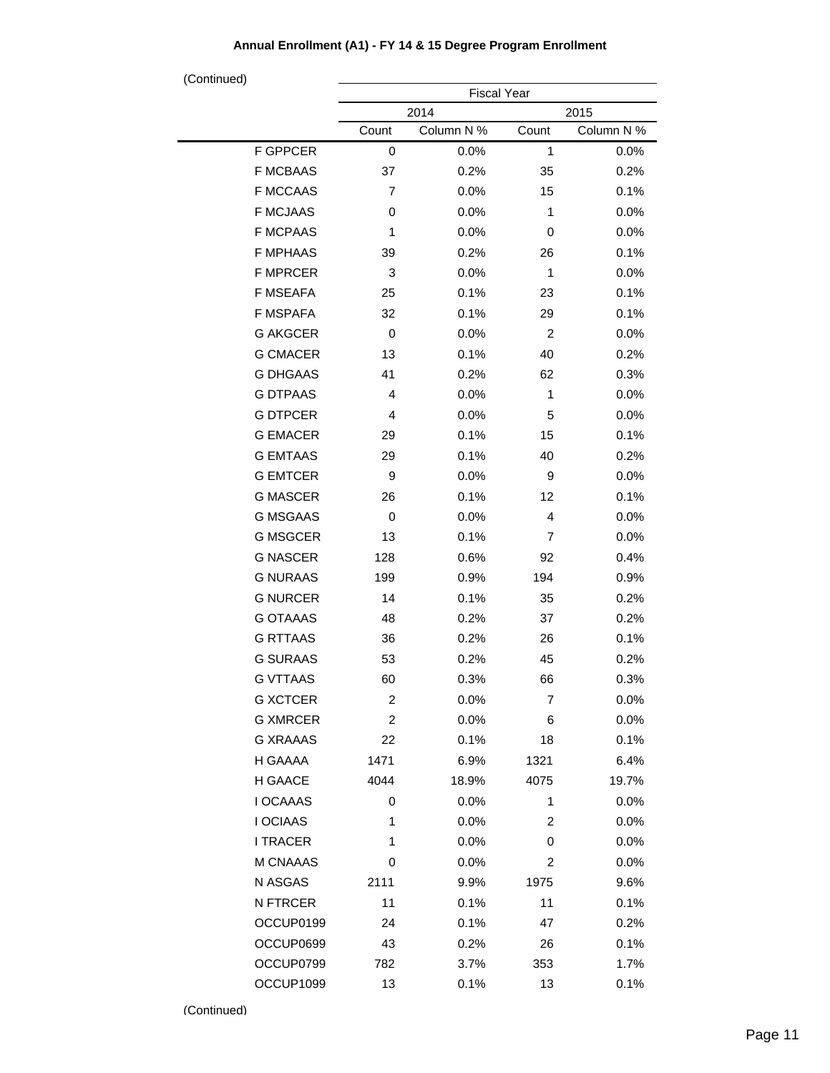| (Continued) |                 | <b>Fiscal Year</b> |            |                |            |
|-------------|-----------------|--------------------|------------|----------------|------------|
|             |                 |                    | 2014       |                | 2015       |
|             |                 | Count              | Column N % | Count          | Column N % |
|             | F GPPCER        | 0                  | 0.0%       | 1              | 0.0%       |
|             | <b>F MCBAAS</b> | 37                 | 0.2%       | 35             | 0.2%       |
|             | <b>F MCCAAS</b> | 7                  | 0.0%       | 15             | 0.1%       |
|             | <b>F MCJAAS</b> | 0                  | 0.0%       | 1              | 0.0%       |
|             | <b>F MCPAAS</b> | 1                  | 0.0%       | 0              | 0.0%       |
|             | <b>F MPHAAS</b> | 39                 | 0.2%       | 26             | 0.1%       |
|             | <b>F MPRCER</b> | 3                  | 0.0%       | 1              | 0.0%       |
|             | <b>F MSEAFA</b> | 25                 | 0.1%       | 23             | 0.1%       |
|             | <b>F MSPAFA</b> | 32                 | 0.1%       | 29             | 0.1%       |
|             | <b>G AKGCER</b> | 0                  | 0.0%       | 2              | 0.0%       |
|             | <b>G CMACER</b> | 13                 | 0.1%       | 40             | 0.2%       |
|             | <b>G DHGAAS</b> | 41                 | 0.2%       | 62             | 0.3%       |
|             | <b>G DTPAAS</b> | 4                  | 0.0%       | 1              | 0.0%       |
|             | <b>G DTPCER</b> | 4                  | 0.0%       | 5              | 0.0%       |
|             | <b>G EMACER</b> | 29                 | 0.1%       | 15             | 0.1%       |
|             | <b>G EMTAAS</b> | 29                 | 0.1%       | 40             | 0.2%       |
|             | <b>G EMTCER</b> | 9                  | 0.0%       | 9              | 0.0%       |
|             | <b>G MASCER</b> | 26                 | 0.1%       | 12             | 0.1%       |
|             | <b>G MSGAAS</b> | 0                  | 0.0%       | 4              | 0.0%       |
|             | <b>G MSGCER</b> | 13                 | 0.1%       | $\overline{7}$ | 0.0%       |
|             | <b>G NASCER</b> | 128                | 0.6%       | 92             | 0.4%       |
|             | <b>G NURAAS</b> | 199                | 0.9%       | 194            | 0.9%       |
|             | <b>G NURCER</b> | 14                 | 0.1%       | 35             | 0.2%       |
|             | <b>G OTAAAS</b> | 48                 | 0.2%       | 37             | 0.2%       |
|             | <b>G RTTAAS</b> | 36                 | 0.2%       | 26             | 0.1%       |
|             | <b>G SURAAS</b> | 53                 | 0.2%       | 45             | 0.2%       |
|             | <b>G VTTAAS</b> | 60                 | 0.3%       | 66             | 0.3%       |
|             | <b>G XCTCER</b> | 2                  | 0.0%       | $\overline{7}$ | 0.0%       |
|             | <b>G XMRCER</b> | $\overline{c}$     | 0.0%       | 6              | 0.0%       |
|             | <b>G XRAAAS</b> | 22                 | 0.1%       | 18             | 0.1%       |
|             | H GAAAA         | 1471               | 6.9%       | 1321           | 6.4%       |
|             | H GAACE         | 4044               | 18.9%      | 4075           | 19.7%      |
|             | I OCAAAS        | 0                  | 0.0%       | 1              | 0.0%       |
|             | I OCIAAS        | 1                  | 0.0%       | $\overline{c}$ | 0.0%       |
|             | <b>I TRACER</b> | 1                  | 0.0%       | 0              | 0.0%       |
|             | M CNAAAS        | 0                  | 0.0%       | $\overline{c}$ | 0.0%       |
|             | N ASGAS         | 2111               | 9.9%       | 1975           | 9.6%       |
|             | N FTRCER        | 11                 | 0.1%       | 11             | 0.1%       |
|             | OCCUP0199       | 24                 | 0.1%       | 47             | 0.2%       |
|             | OCCUP0699       | 43                 | 0.2%       | 26             | 0.1%       |
|             | OCCUP0799       | 782                | 3.7%       | 353            | 1.7%       |
|             | OCCUP1099       | 13                 | 0.1%       | 13             | 0.1%       |

 $\overline{\phantom{0}}$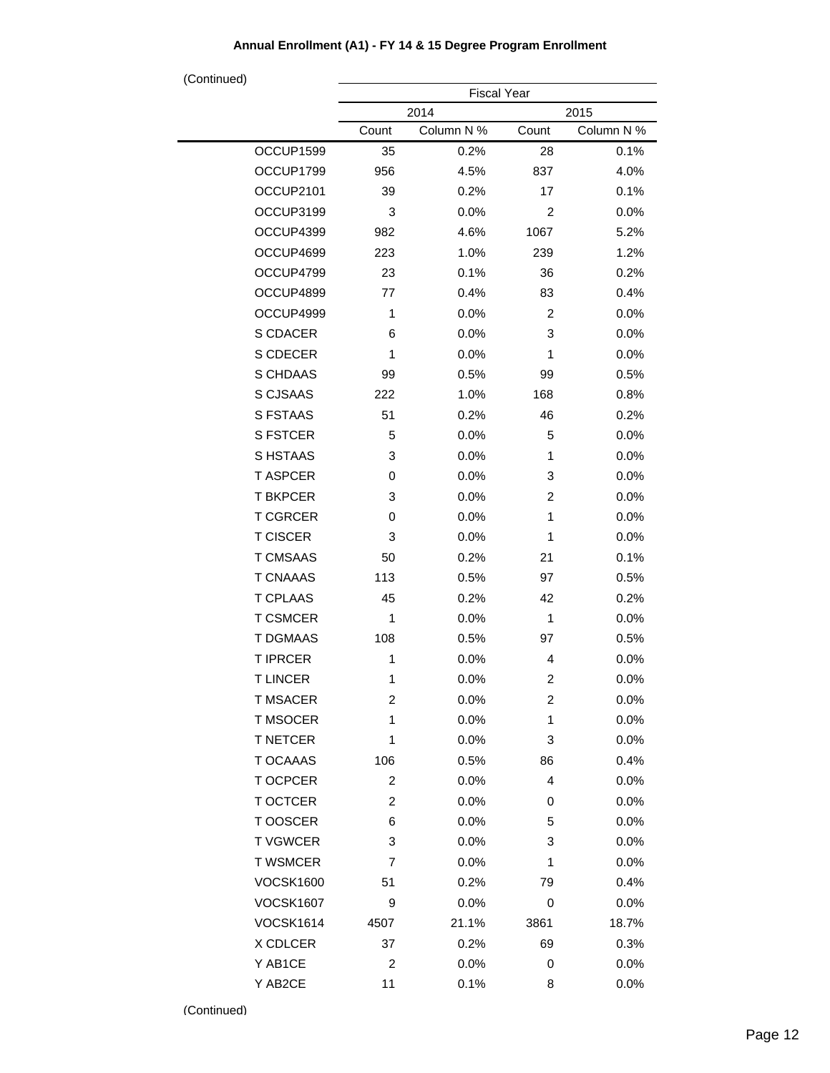| (Continued)      |                         | <b>Fiscal Year</b> |                         |            |
|------------------|-------------------------|--------------------|-------------------------|------------|
|                  |                         | 2014               |                         | 2015       |
|                  | Count                   | Column N %         | Count                   | Column N % |
| OCCUP1599        | 35                      | 0.2%               | 28                      | 0.1%       |
| OCCUP1799        | 956                     | 4.5%               | 837                     | 4.0%       |
| OCCUP2101        | 39                      | 0.2%               | 17                      | 0.1%       |
| OCCUP3199        | 3                       | 0.0%               | 2                       | 0.0%       |
| OCCUP4399        | 982                     | 4.6%               | 1067                    | 5.2%       |
| OCCUP4699        | 223                     | 1.0%               | 239                     | 1.2%       |
| OCCUP4799        | 23                      | 0.1%               | 36                      | 0.2%       |
| OCCUP4899        | 77                      | 0.4%               | 83                      | 0.4%       |
| OCCUP4999        | 1                       | 0.0%               | 2                       | 0.0%       |
| S CDACER         | 6                       | 0.0%               | 3                       | 0.0%       |
| S CDECER         | 1                       | 0.0%               | 1                       | 0.0%       |
| S CHDAAS         | 99                      | 0.5%               | 99                      | 0.5%       |
| S CJSAAS         | 222                     | 1.0%               | 168                     | 0.8%       |
| <b>S FSTAAS</b>  | 51                      | 0.2%               | 46                      | 0.2%       |
| <b>S FSTCER</b>  | 5                       | 0.0%               | 5                       | 0.0%       |
| S HSTAAS         | 3                       | 0.0%               | 1                       | 0.0%       |
| <b>T ASPCER</b>  | 0                       | 0.0%               | 3                       | 0.0%       |
| <b>T BKPCER</b>  | 3                       | 0.0%               | 2                       | 0.0%       |
| <b>T CGRCER</b>  | 0                       | 0.0%               | 1                       | 0.0%       |
| <b>T CISCER</b>  | 3                       | 0.0%               | 1                       | 0.0%       |
| <b>T CMSAAS</b>  | 50                      | 0.2%               | 21                      | 0.1%       |
| <b>T CNAAAS</b>  | 113                     | 0.5%               | 97                      | 0.5%       |
| <b>T CPLAAS</b>  | 45                      | 0.2%               | 42                      | 0.2%       |
| <b>T CSMCER</b>  | 1                       | 0.0%               | $\mathbf{1}$            | 0.0%       |
| <b>T DGMAAS</b>  | 108                     | 0.5%               | 97                      | 0.5%       |
| <b>T IPRCER</b>  | 1                       | 0.0%               | 4                       | 0.0%       |
| <b>TLINCER</b>   | 1                       | 0.0%               | 2                       | 0.0%       |
| <b>T MSACER</b>  | $\overline{\mathbf{c}}$ | 0.0%               | $\overline{\mathbf{c}}$ | 0.0%       |
| <b>T MSOCER</b>  | 1                       | 0.0%               | 1                       | 0.0%       |
| <b>T NETCER</b>  | 1                       | 0.0%               | 3                       | 0.0%       |
| <b>T OCAAAS</b>  | 106                     | 0.5%               | 86                      | 0.4%       |
| <b>TOCPCER</b>   | 2                       | 0.0%               | 4                       | 0.0%       |
| <b>T OCTCER</b>  | $\overline{c}$          | 0.0%               | 0                       | 0.0%       |
| T OOSCER         | 6                       | 0.0%               | 5                       | 0.0%       |
| <b>TVGWCER</b>   | 3                       | 0.0%               | 3                       | 0.0%       |
| <b>T WSMCER</b>  | 7                       | 0.0%               | 1                       | 0.0%       |
| <b>VOCSK1600</b> | 51                      | 0.2%               | 79                      | 0.4%       |
| <b>VOCSK1607</b> | 9                       | 0.0%               | 0                       | 0.0%       |
| <b>VOCSK1614</b> | 4507                    | 21.1%              | 3861                    | 18.7%      |
| X CDLCER         | 37                      | 0.2%               | 69                      | 0.3%       |
| Y AB1CE          | $\overline{c}$          | 0.0%               | 0                       | 0.0%       |
| Y AB2CE          | 11                      | 0.1%               | 8                       | 0.0%       |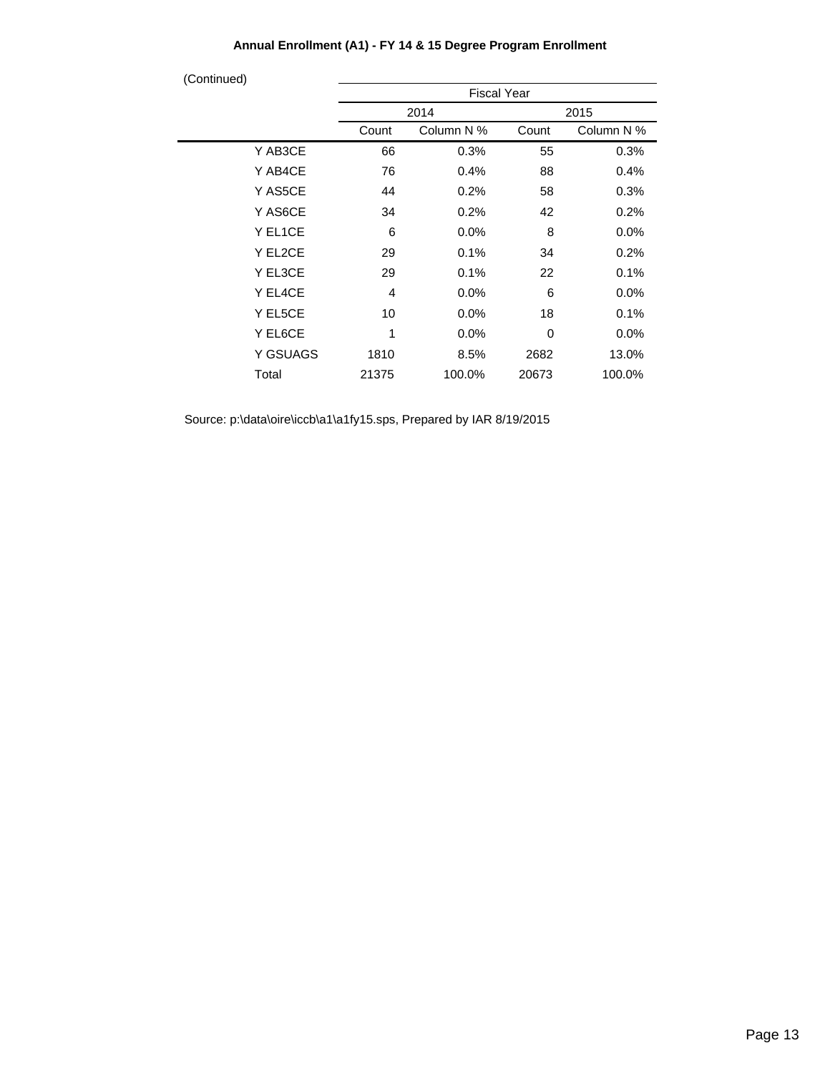| (Continued) |                    |            |       |            |  |
|-------------|--------------------|------------|-------|------------|--|
|             | <b>Fiscal Year</b> |            |       |            |  |
|             |                    | 2014       | 2015  |            |  |
|             | Count              | Column N % | Count | Column N % |  |
| Y AB3CE     | 66                 | 0.3%       | 55    | 0.3%       |  |
| Y AB4CE     | 76                 | 0.4%       | 88    | 0.4%       |  |
| Y AS5CE     | 44                 | 0.2%       | 58    | 0.3%       |  |
| Y AS6CE     | 34                 | 0.2%       | 42    | 0.2%       |  |
| Y EL1CE     | 6                  | $0.0\%$    | 8     | $0.0\%$    |  |
| Y EL2CE     | 29                 | 0.1%       | 34    | 0.2%       |  |
| Y EL3CE     | 29                 | 0.1%       | 22    | 0.1%       |  |
| Y EL4CE     | 4                  | $0.0\%$    | 6     | $0.0\%$    |  |
| Y EL5CE     | 10                 | $0.0\%$    | 18    | 0.1%       |  |
| Y EL6CE     | 1                  | $0.0\%$    | 0     | $0.0\%$    |  |
| Y GSUAGS    | 1810               | 8.5%       | 2682  | 13.0%      |  |
| Total       | 21375              | 100.0%     | 20673 | 100.0%     |  |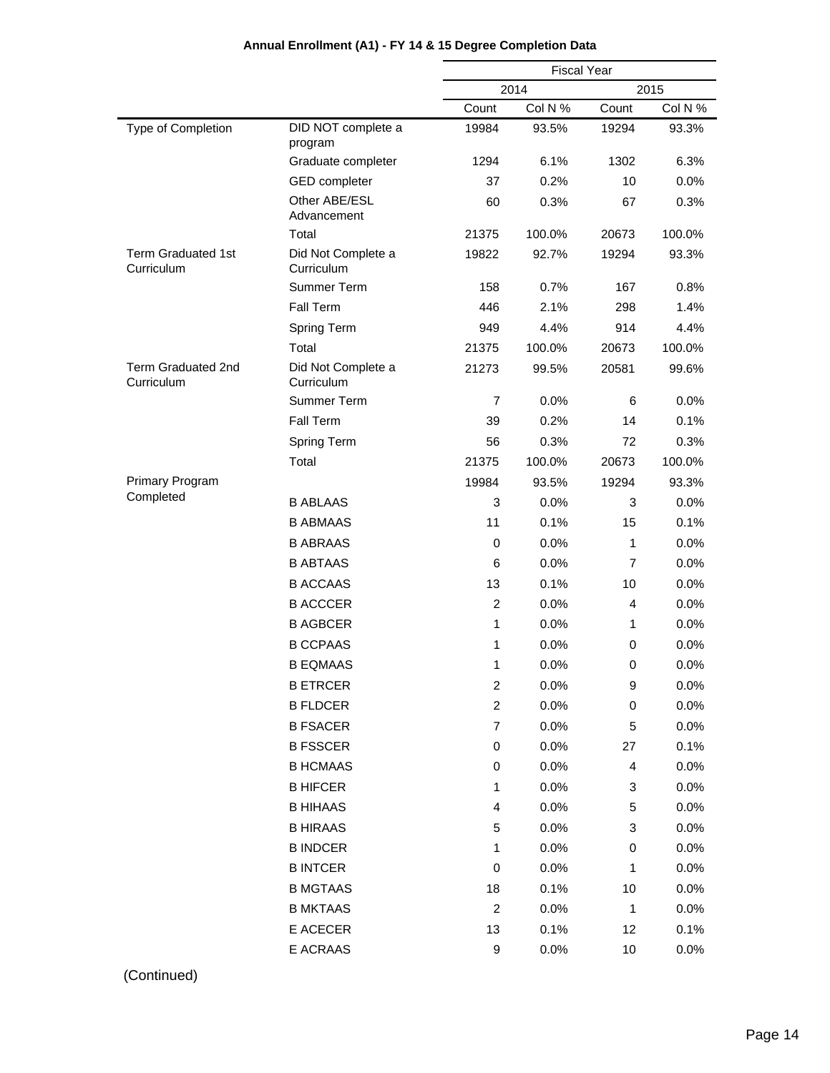|                                         |                                  | <b>Fiscal Year</b> |              |              |         |
|-----------------------------------------|----------------------------------|--------------------|--------------|--------------|---------|
|                                         |                                  |                    | 2014<br>2015 |              |         |
|                                         |                                  | Count              | Col N %      | Count        | Col N % |
| Type of Completion                      | DID NOT complete a<br>program    | 19984              | 93.5%        | 19294        | 93.3%   |
|                                         | Graduate completer               | 1294               | 6.1%         | 1302         | 6.3%    |
|                                         | <b>GED</b> completer             | 37                 | 0.2%         | 10           | 0.0%    |
|                                         | Other ABE/ESL<br>Advancement     | 60                 | 0.3%         | 67           | 0.3%    |
|                                         | Total                            | 21375              | 100.0%       | 20673        | 100.0%  |
| <b>Term Graduated 1st</b><br>Curriculum | Did Not Complete a<br>Curriculum | 19822              | 92.7%        | 19294        | 93.3%   |
|                                         | Summer Term                      | 158                | 0.7%         | 167          | 0.8%    |
|                                         | Fall Term                        | 446                | 2.1%         | 298          | 1.4%    |
|                                         | <b>Spring Term</b>               | 949                | 4.4%         | 914          | 4.4%    |
|                                         | Total                            | 21375              | 100.0%       | 20673        | 100.0%  |
| <b>Term Graduated 2nd</b><br>Curriculum | Did Not Complete a<br>Curriculum | 21273              | 99.5%        | 20581        | 99.6%   |
|                                         | Summer Term                      | $\overline{7}$     | 0.0%         | 6            | 0.0%    |
|                                         | Fall Term                        | 39                 | 0.2%         | 14           | 0.1%    |
|                                         | <b>Spring Term</b>               | 56                 | 0.3%         | 72           | 0.3%    |
|                                         | Total                            | 21375              | 100.0%       | 20673        | 100.0%  |
| <b>Primary Program</b>                  |                                  | 19984              | 93.5%        | 19294        | 93.3%   |
| Completed                               | <b>B ABLAAS</b>                  | 3                  | 0.0%         | 3            | 0.0%    |
|                                         | <b>B ABMAAS</b>                  | 11                 | 0.1%         | 15           | 0.1%    |
|                                         | <b>B ABRAAS</b>                  | 0                  | 0.0%         | 1            | 0.0%    |
|                                         | <b>B ABTAAS</b>                  | 6                  | 0.0%         | 7            | 0.0%    |
|                                         | <b>B ACCAAS</b>                  | 13                 | 0.1%         | 10           | 0.0%    |
|                                         | <b>B ACCCER</b>                  | $\overline{c}$     | 0.0%         | 4            | 0.0%    |
|                                         | <b>B AGBCER</b>                  | 1                  | 0.0%         | 1            | 0.0%    |
|                                         | <b>B CCPAAS</b>                  | 1                  | 0.0%         | 0            | 0.0%    |
|                                         | <b>B EQMAAS</b>                  | 1                  | 0.0%         | 0            | 0.0%    |
|                                         | <b>B ETRCER</b>                  | $\overline{c}$     | 0.0%         | 9            | 0.0%    |
|                                         | <b>B FLDCER</b>                  | $\overline{c}$     | 0.0%         | $\pmb{0}$    | 0.0%    |
|                                         | <b>B FSACER</b>                  | $\overline{7}$     | 0.0%         | 5            | 0.0%    |
|                                         | <b>B FSSCER</b>                  | 0                  | 0.0%         | 27           | 0.1%    |
|                                         | <b>B HCMAAS</b>                  | 0                  | 0.0%         | 4            | 0.0%    |
|                                         | <b>B HIFCER</b>                  | 1                  | 0.0%         | 3            | 0.0%    |
|                                         | <b>B HIHAAS</b>                  | 4                  | 0.0%         | 5            | 0.0%    |
|                                         | <b>B HIRAAS</b>                  | 5                  | 0.0%         | 3            | 0.0%    |
|                                         | <b>B INDCER</b>                  | 1                  | 0.0%         | 0            | 0.0%    |
|                                         | <b>B INTCER</b>                  | 0                  | 0.0%         | 1            | 0.0%    |
|                                         | <b>B MGTAAS</b>                  | 18                 | 0.1%         | 10           | 0.0%    |
|                                         | <b>B MKTAAS</b>                  | $\boldsymbol{2}$   | 0.0%         | $\mathbf{1}$ | 0.0%    |
|                                         | E ACECER                         | 13                 | 0.1%         | 12           | 0.1%    |
|                                         | E ACRAAS                         | 9                  | 0.0%         | 10           | 0.0%    |
|                                         |                                  |                    |              |              |         |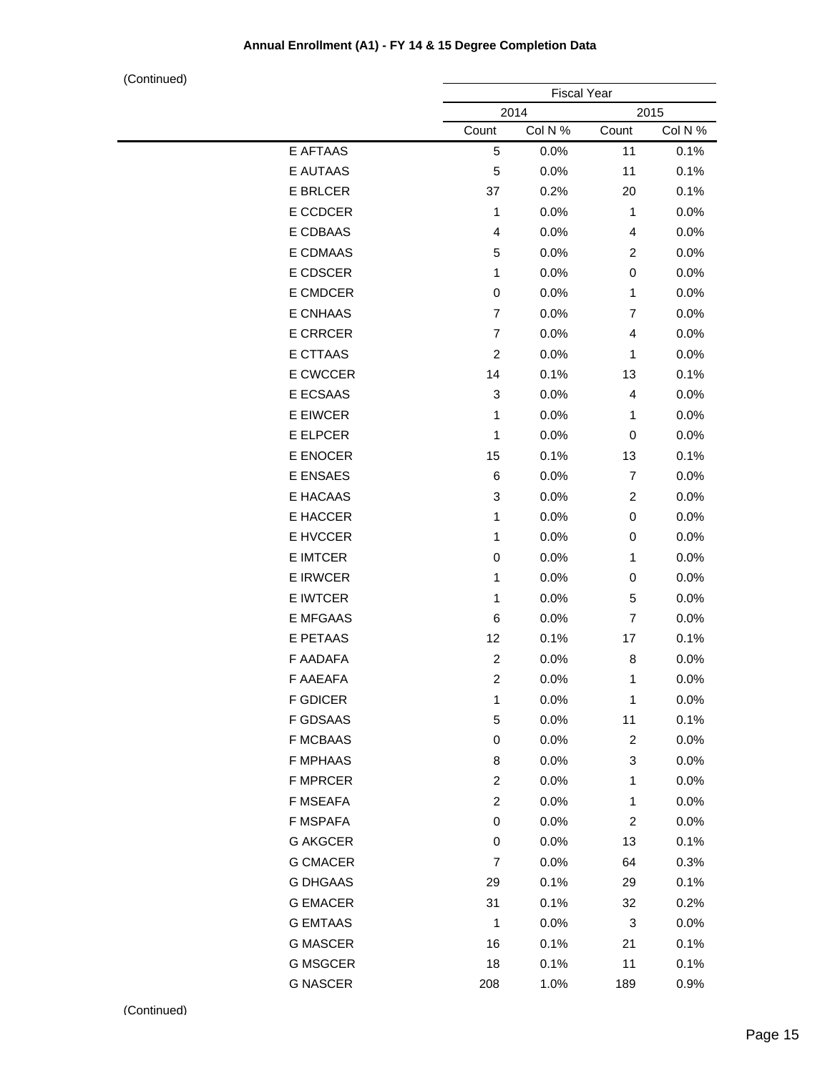|                 | <b>Fiscal Year</b> |         |                |         |  |
|-----------------|--------------------|---------|----------------|---------|--|
|                 |                    | 2014    |                | 2015    |  |
|                 | Count              | Col N % | Count          | Col N % |  |
| E AFTAAS        | 5                  | 0.0%    | 11             | 0.1%    |  |
| E AUTAAS        | 5                  | 0.0%    | 11             | 0.1%    |  |
| <b>E BRLCER</b> | 37                 | 0.2%    | 20             | 0.1%    |  |
| E CCDCER        | 1                  | 0.0%    | 1              | 0.0%    |  |
| E CDBAAS        | 4                  | 0.0%    | 4              | 0.0%    |  |
| E CDMAAS        | 5                  | 0.0%    | $\overline{c}$ | 0.0%    |  |
| E CDSCER        | 1                  | 0.0%    | 0              | 0.0%    |  |
| E CMDCER        | $\mathbf 0$        | 0.0%    | 1              | 0.0%    |  |
| E CNHAAS        | $\overline{7}$     | 0.0%    | $\overline{7}$ | 0.0%    |  |
| <b>E CRRCER</b> | $\overline{7}$     | 0.0%    | 4              | 0.0%    |  |
| E CTTAAS        | $\overline{c}$     | 0.0%    | 1              | 0.0%    |  |
| E CWCCER        | 14                 | 0.1%    | 13             | 0.1%    |  |
| E ECSAAS        | 3                  | 0.0%    | 4              | 0.0%    |  |
| E EIWCER        | 1                  | 0.0%    | 1              | 0.0%    |  |
| E ELPCER        | 1                  | 0.0%    | 0              | 0.0%    |  |
| E ENOCER        | 15                 | 0.1%    | 13             | 0.1%    |  |
| E ENSAES        | $\,6$              | 0.0%    | $\overline{7}$ | 0.0%    |  |
| E HACAAS        | 3                  | 0.0%    | $\overline{c}$ | 0.0%    |  |
| E HACCER        | 1                  | 0.0%    | 0              | 0.0%    |  |
| E HVCCER        | 1                  | 0.0%    | 0              | 0.0%    |  |
| E IMTCER        | $\pmb{0}$          | 0.0%    | 1              | 0.0%    |  |
| E IRWCER        | 1                  | 0.0%    | 0              | 0.0%    |  |
| E IWTCER        | 1                  | 0.0%    | 5              | 0.0%    |  |
| E MFGAAS        | 6                  | 0.0%    | $\overline{7}$ | 0.0%    |  |
| E PETAAS        | 12                 | 0.1%    | 17             | 0.1%    |  |
| F AADAFA        | $\overline{c}$     | 0.0%    | 8              | 0.0%    |  |
| F AAEAFA        | $\overline{c}$     | 0.0%    | 1              | 0.0%    |  |
| F GDICER        | 1                  | 0.0%    | 1              | 0.0%    |  |
| F GDSAAS        | 5                  | 0.0%    | 11             | 0.1%    |  |
| <b>F MCBAAS</b> | 0                  | 0.0%    | $\overline{c}$ | 0.0%    |  |
| F MPHAAS        | 8                  | 0.0%    | 3              | 0.0%    |  |
| <b>F MPRCER</b> | $\overline{c}$     | 0.0%    | 1              | 0.0%    |  |
| F MSEAFA        | $\overline{c}$     | 0.0%    | 1              | 0.0%    |  |
| F MSPAFA        | 0                  | 0.0%    | $\overline{c}$ | 0.0%    |  |
| <b>G AKGCER</b> | 0                  | 0.0%    | 13             | 0.1%    |  |
| <b>G CMACER</b> | $\overline{7}$     | 0.0%    | 64             | 0.3%    |  |
| <b>G DHGAAS</b> | 29                 | 0.1%    | 29             | 0.1%    |  |
| <b>G EMACER</b> | 31                 | 0.1%    | 32             | 0.2%    |  |
| <b>G EMTAAS</b> | 1                  | 0.0%    | 3              | 0.0%    |  |
| <b>G MASCER</b> | 16                 | 0.1%    | 21             | 0.1%    |  |
| <b>G MSGCER</b> | 18                 | 0.1%    | 11             | 0.1%    |  |
| <b>G NASCER</b> | 208                | 1.0%    | 189            | 0.9%    |  |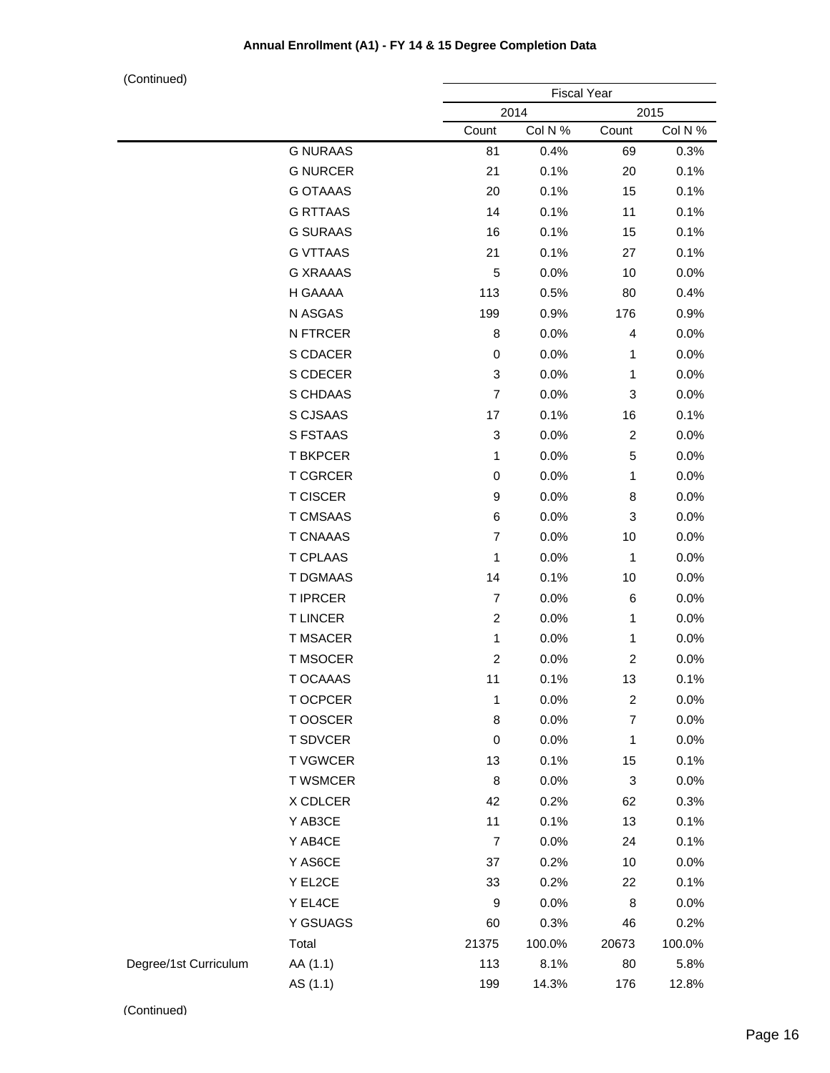|                       |                 |                           | <b>Fiscal Year</b> |                         |         |  |
|-----------------------|-----------------|---------------------------|--------------------|-------------------------|---------|--|
|                       |                 |                           | 2014               |                         | 2015    |  |
|                       |                 | Count                     | Col N %            | Count                   | Col N % |  |
|                       | <b>G NURAAS</b> | 81                        | 0.4%               | 69                      | 0.3%    |  |
|                       | <b>G NURCER</b> | 21                        | 0.1%               | 20                      | 0.1%    |  |
|                       | <b>G OTAAAS</b> | 20                        | 0.1%               | 15                      | 0.1%    |  |
|                       | <b>G RTTAAS</b> | 14                        | 0.1%               | 11                      | 0.1%    |  |
|                       | <b>G SURAAS</b> | 16                        | 0.1%               | 15                      | 0.1%    |  |
|                       | <b>G VTTAAS</b> | 21                        | 0.1%               | 27                      | 0.1%    |  |
|                       | <b>G XRAAAS</b> | 5                         | 0.0%               | 10                      | 0.0%    |  |
|                       | H GAAAA         | 113                       | 0.5%               | 80                      | 0.4%    |  |
|                       | N ASGAS         | 199                       | 0.9%               | 176                     | 0.9%    |  |
|                       | N FTRCER        | 8                         | 0.0%               | 4                       | 0.0%    |  |
|                       | S CDACER        | 0                         | 0.0%               | 1                       | 0.0%    |  |
|                       | S CDECER        | 3                         | 0.0%               | 1                       | 0.0%    |  |
|                       | S CHDAAS        | $\overline{7}$            | 0.0%               | 3                       | 0.0%    |  |
|                       | S CJSAAS        | 17                        | 0.1%               | 16                      | 0.1%    |  |
|                       | <b>S FSTAAS</b> | $\ensuremath{\mathsf{3}}$ | 0.0%               | $\overline{\mathbf{c}}$ | 0.0%    |  |
|                       | <b>T BKPCER</b> | 1                         | 0.0%               | 5                       | 0.0%    |  |
|                       | <b>T CGRCER</b> | 0                         | 0.0%               | 1                       | 0.0%    |  |
|                       | <b>T CISCER</b> | 9                         | 0.0%               | 8                       | 0.0%    |  |
|                       | <b>T CMSAAS</b> | 6                         | 0.0%               | 3                       | 0.0%    |  |
|                       | <b>T CNAAAS</b> | $\overline{7}$            | 0.0%               | 10                      | 0.0%    |  |
|                       | <b>T CPLAAS</b> | 1                         | 0.0%               | 1                       | 0.0%    |  |
|                       | <b>T DGMAAS</b> | 14                        | 0.1%               | 10                      | 0.0%    |  |
|                       | <b>T IPRCER</b> | $\overline{7}$            | 0.0%               | 6                       | 0.0%    |  |
|                       | <b>TLINCER</b>  | $\overline{c}$            | 0.0%               | 1                       | 0.0%    |  |
|                       | <b>T MSACER</b> | 1                         | 0.0%               | 1                       | 0.0%    |  |
|                       | T MSOCER        | $\overline{c}$            | 0.0%               | $\boldsymbol{2}$        | 0.0%    |  |
|                       | T OCAAAS        | 11                        | 0.1%               | 13                      | 0.1%    |  |
|                       | <b>TOCPCER</b>  | 1                         | 0.0%               | $\overline{c}$          | 0.0%    |  |
|                       | T OOSCER        | 8                         | 0.0%               | $\overline{\mathbf{7}}$ | 0.0%    |  |
|                       | <b>T SDVCER</b> | 0                         | 0.0%               | 1                       | 0.0%    |  |
|                       | <b>T VGWCER</b> | 13                        | 0.1%               | 15                      | 0.1%    |  |
|                       | <b>T WSMCER</b> | $\bf 8$                   | 0.0%               | 3                       | 0.0%    |  |
|                       | X CDLCER        | 42                        | 0.2%               | 62                      | 0.3%    |  |
|                       | Y AB3CE         | 11                        | 0.1%               | 13                      | 0.1%    |  |
|                       | Y AB4CE         | $\overline{7}$            | 0.0%               | 24                      | 0.1%    |  |
|                       | Y AS6CE         | 37                        | 0.2%               | 10                      | 0.0%    |  |
|                       | Y EL2CE         | 33                        | 0.2%               | 22                      | 0.1%    |  |
|                       | Y EL4CE         | 9                         | 0.0%               | 8                       | 0.0%    |  |
|                       | Y GSUAGS        | 60                        | 0.3%               | 46                      | 0.2%    |  |
|                       | Total           | 21375                     | 100.0%             | 20673                   | 100.0%  |  |
| Degree/1st Curriculum | AA (1.1)        | 113                       | 8.1%               | 80                      | 5.8%    |  |
|                       | AS (1.1)        | 199                       | 14.3%              | 176                     | 12.8%   |  |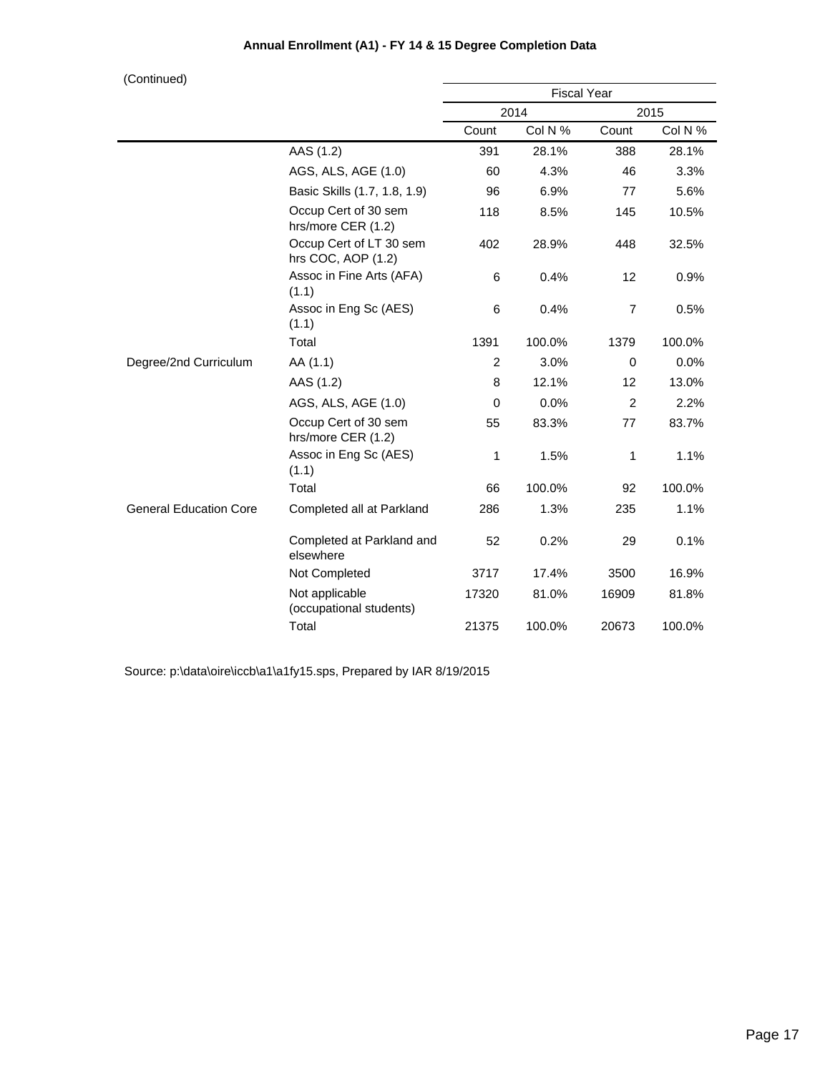(Continued)

| $($ Comunical                 |                                               | <b>Fiscal Year</b> |         |                |         |
|-------------------------------|-----------------------------------------------|--------------------|---------|----------------|---------|
|                               |                                               |                    | 2014    |                | 2015    |
|                               |                                               | Count              | Col N % | Count          | Col N % |
|                               | AAS (1.2)                                     | 391                | 28.1%   | 388            | 28.1%   |
|                               | AGS, ALS, AGE (1.0)                           | 60                 | 4.3%    | 46             | 3.3%    |
|                               | Basic Skills (1.7, 1.8, 1.9)                  | 96                 | 6.9%    | 77             | 5.6%    |
|                               | Occup Cert of 30 sem<br>hrs/more CER (1.2)    | 118                | 8.5%    | 145            | 10.5%   |
|                               | Occup Cert of LT 30 sem<br>hrs COC, AOP (1.2) | 402                | 28.9%   | 448            | 32.5%   |
|                               | Assoc in Fine Arts (AFA)<br>(1.1)             | 6                  | 0.4%    | 12             | 0.9%    |
|                               | Assoc in Eng Sc (AES)<br>(1.1)                | 6                  | 0.4%    | $\overline{7}$ | 0.5%    |
|                               | Total                                         | 1391               | 100.0%  | 1379           | 100.0%  |
| Degree/2nd Curriculum         | AA (1.1)                                      | $\overline{c}$     | 3.0%    | $\Omega$       | 0.0%    |
|                               | AAS (1.2)                                     | 8                  | 12.1%   | 12             | 13.0%   |
|                               | AGS, ALS, AGE (1.0)                           | $\Omega$           | 0.0%    | 2              | 2.2%    |
|                               | Occup Cert of 30 sem<br>hrs/more CER (1.2)    | 55                 | 83.3%   | 77             | 83.7%   |
|                               | Assoc in Eng Sc (AES)<br>(1.1)                | 1                  | 1.5%    | 1              | 1.1%    |
|                               | Total                                         | 66                 | 100.0%  | 92             | 100.0%  |
| <b>General Education Core</b> | Completed all at Parkland                     | 286                | 1.3%    | 235            | 1.1%    |
|                               | Completed at Parkland and<br>elsewhere        | 52                 | 0.2%    | 29             | 0.1%    |
|                               | Not Completed                                 | 3717               | 17.4%   | 3500           | 16.9%   |
|                               | Not applicable<br>(occupational students)     | 17320              | 81.0%   | 16909          | 81.8%   |
|                               | Total                                         | 21375              | 100.0%  | 20673          | 100.0%  |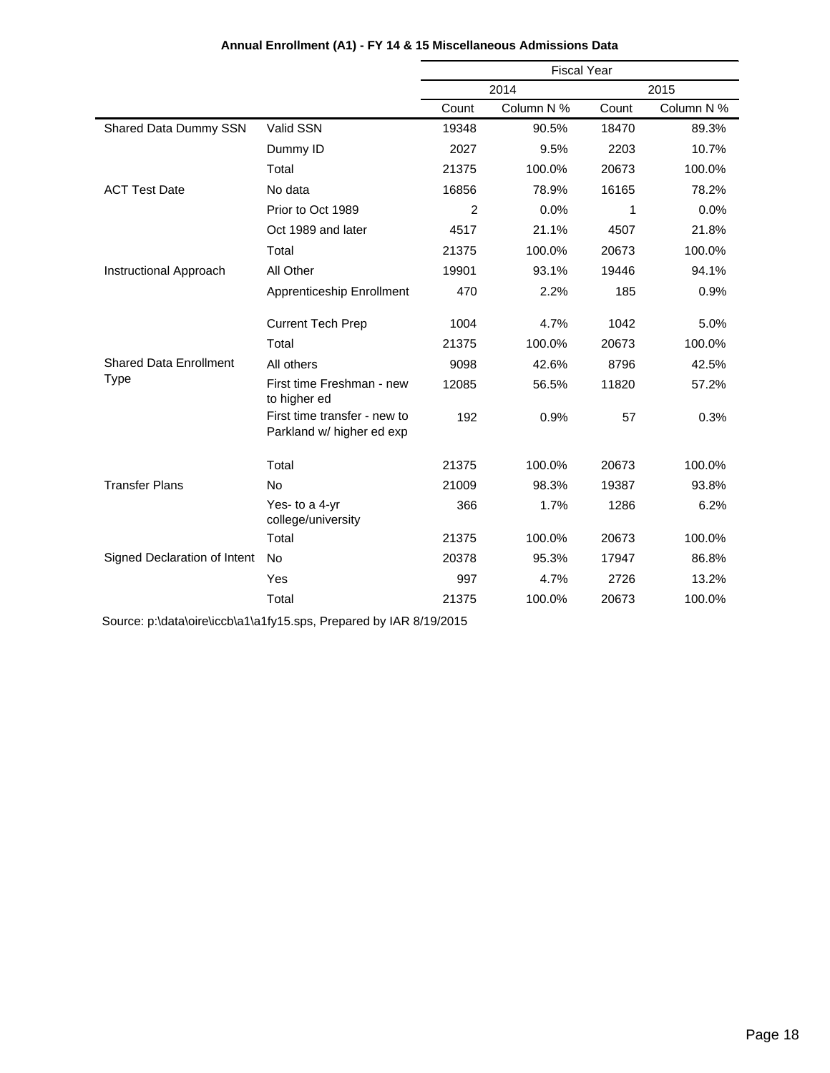|                               |                                                           | <b>Fiscal Year</b> |            |       |            |
|-------------------------------|-----------------------------------------------------------|--------------------|------------|-------|------------|
|                               |                                                           | 2014               |            |       | 2015       |
|                               |                                                           | Count              | Column N % | Count | Column N % |
| Shared Data Dummy SSN         | Valid SSN                                                 | 19348              | 90.5%      | 18470 | 89.3%      |
|                               | Dummy ID                                                  | 2027               | 9.5%       | 2203  | 10.7%      |
|                               | Total                                                     | 21375              | 100.0%     | 20673 | 100.0%     |
| <b>ACT Test Date</b>          | No data                                                   | 16856              | 78.9%      | 16165 | 78.2%      |
|                               | Prior to Oct 1989                                         | $\overline{2}$     | 0.0%       | 1     | 0.0%       |
|                               | Oct 1989 and later                                        | 4517               | 21.1%      | 4507  | 21.8%      |
|                               | Total                                                     | 21375              | 100.0%     | 20673 | 100.0%     |
| Instructional Approach        | All Other                                                 | 19901              | 93.1%      | 19446 | 94.1%      |
|                               | Apprenticeship Enrollment                                 | 470                | 2.2%       | 185   | 0.9%       |
|                               | <b>Current Tech Prep</b>                                  | 1004               | 4.7%       | 1042  | 5.0%       |
|                               | Total                                                     | 21375              | 100.0%     | 20673 | 100.0%     |
| <b>Shared Data Enrollment</b> | All others                                                | 9098               | 42.6%      | 8796  | 42.5%      |
| <b>Type</b>                   | First time Freshman - new<br>to higher ed                 | 12085              | 56.5%      | 11820 | 57.2%      |
|                               | First time transfer - new to<br>Parkland w/ higher ed exp | 192                | 0.9%       | 57    | 0.3%       |
|                               | Total                                                     | 21375              | 100.0%     | 20673 | 100.0%     |
| <b>Transfer Plans</b>         | <b>No</b>                                                 | 21009              | 98.3%      | 19387 | 93.8%      |
|                               | Yes- to a 4-yr<br>college/university                      | 366                | 1.7%       | 1286  | 6.2%       |
|                               | Total                                                     | 21375              | 100.0%     | 20673 | 100.0%     |
| Signed Declaration of Intent  | <b>No</b>                                                 | 20378              | 95.3%      | 17947 | 86.8%      |
|                               | Yes                                                       | 997                | 4.7%       | 2726  | 13.2%      |
|                               | Total                                                     | 21375              | 100.0%     | 20673 | 100.0%     |

## **Annual Enrollment (A1) - FY 14 & 15 Miscellaneous Admissions Data**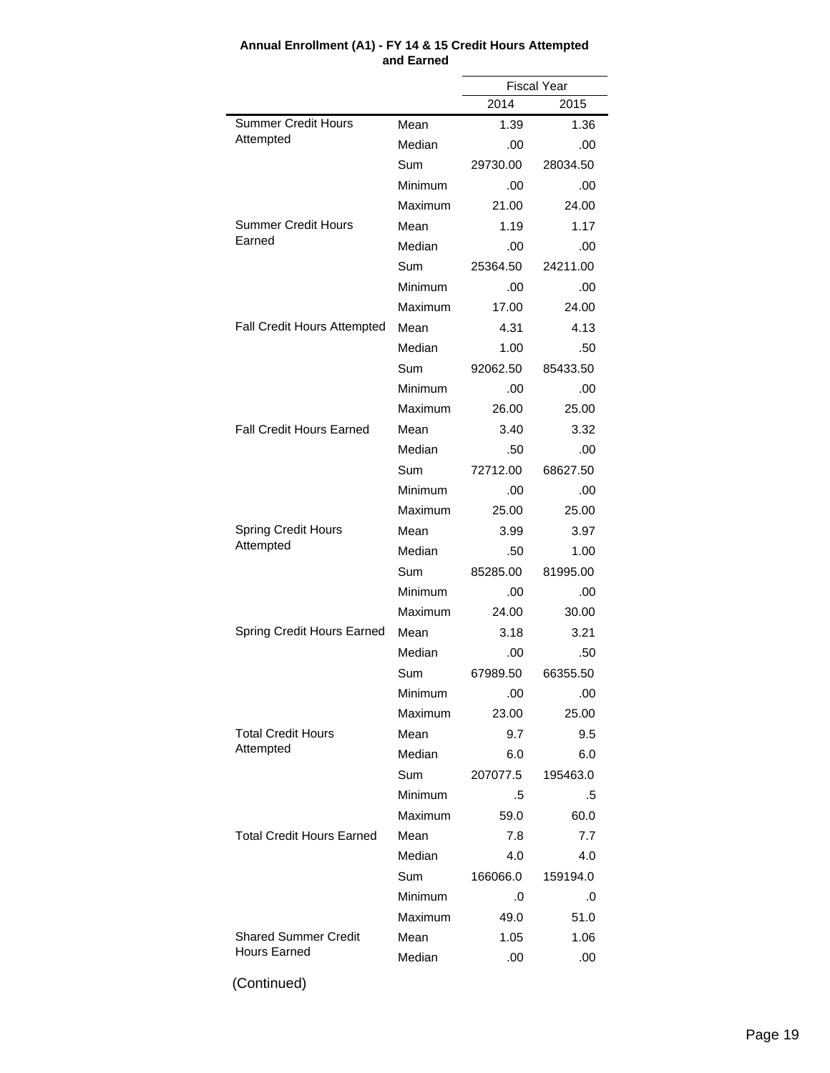|                                  |                | <b>Fiscal Year</b> |          |
|----------------------------------|----------------|--------------------|----------|
|                                  |                | 2014               | 2015     |
| <b>Summer Credit Hours</b>       | Mean           | 1.39               | 1.36     |
| Attempted                        | Median         | .00                | .00      |
|                                  | Sum            | 29730.00           | 28034.50 |
|                                  | Minimum        | .00                | .00      |
|                                  | Maximum        | 21.00              | 24.00    |
| Summer Credit Hours              | Mean           | 1.19               | 1.17     |
| Earned                           | Median         | .00                | .00      |
|                                  | Sum            | 25364.50           | 24211.00 |
|                                  | Minimum        | .00                | .00      |
|                                  | Maximum        | 17.00              | 24.00    |
| Fall Credit Hours Attempted      | Mean           | 4.31               | 4.13     |
|                                  | Median         | 1.00               | .50      |
|                                  | Sum            | 92062.50           | 85433.50 |
|                                  | Minimum        | .00                | .00      |
|                                  | Maximum        | 26.00              | 25.00    |
| <b>Fall Credit Hours Earned</b>  | Mean           | 3.40               | 3.32     |
|                                  | Median         | .50                | .00      |
|                                  | Sum            | 72712.00           | 68627.50 |
|                                  | Minimum        | .00                | .00      |
|                                  | Maximum        | 25.00              | 25.00    |
| <b>Spring Credit Hours</b>       | Mean           | 3.99               | 3.97     |
| Attempted                        | Median         | .50                | 1.00     |
|                                  | Sum            | 85285.00           | 81995.00 |
|                                  | Minimum        | .00                | .00      |
|                                  | Maximum        | 24.00              | 30.00    |
| Spring Credit Hours Earned       | Mean           | 3.18               | 3.21     |
|                                  | Median         | .00                | .50      |
|                                  | Sum            | 67989.50           | 66355.50 |
|                                  | Minimum        | .00                | .00      |
|                                  | <b>Maximum</b> | 23.00              | 25.00    |
| <b>Total Credit Hours</b>        | Mean           | 9.7                | 9.5      |
| Attempted                        | Median         | 6.0                | 6.0      |
|                                  | Sum            | 207077.5           | 195463.0 |
|                                  | Minimum        | .5                 | .5       |
|                                  | Maximum        | 59.0               | 60.0     |
| <b>Total Credit Hours Earned</b> | Mean           | 7.8                | 7.7      |
|                                  | Median         | 4.0                | 4.0      |
|                                  | Sum            | 166066.0           | 159194.0 |
|                                  | Minimum        | .0                 | .0       |
|                                  | Maximum        | 49.0               | 51.0     |
| <b>Shared Summer Credit</b>      | Mean           | 1.05               | 1.06     |
| <b>Hours Earned</b>              | Median         | .00                | .00      |
|                                  |                |                    |          |

#### **Annual Enrollment (A1) - FY 14 & 15 Credit Hours Attempted and Earned**